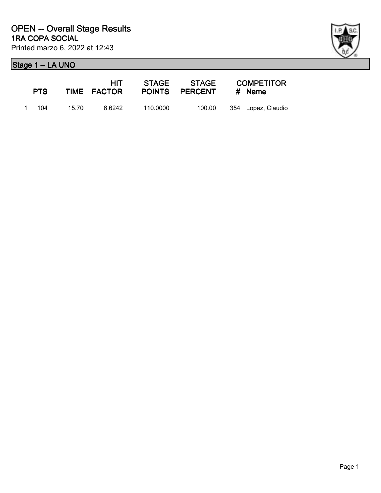

| <b>PTS</b> |       | HIT -<br>TIME FACTOR |          | POINTS PERCENT | <b>COMPETITOR</b><br># Name |
|------------|-------|----------------------|----------|----------------|-----------------------------|
| 1 104      | 15.70 | 6.6242               | 110.0000 | 100.00         | 354 Lopez, Claudio          |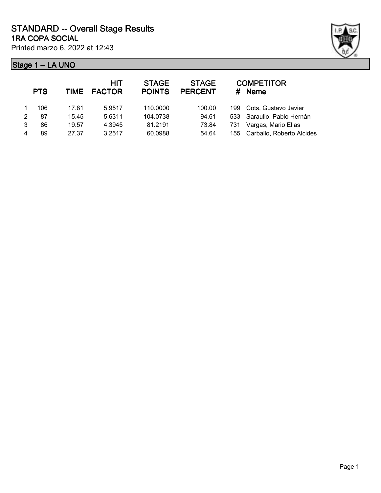

|   | <b>PTS</b> | <b>TIME</b> | <b>HIT</b><br><b>FACTOR</b> | <b>STAGE</b><br><b>POINTS</b> | <b>STAGE</b><br><b>PERCENT</b> | #   | <b>COMPETITOR</b><br><b>Name</b> |
|---|------------|-------------|-----------------------------|-------------------------------|--------------------------------|-----|----------------------------------|
|   | 106        | 17.81       | 5.9517                      | 110.0000                      | 100.00                         | 199 | Cots, Gustavo Javier             |
| 2 | 87         | 15.45       | 5.6311                      | 104.0738                      | 94.61                          |     | 533 Saraullo, Pablo Hernán       |
| 3 | 86         | 19.57       | 4.3945                      | 81.2191                       | 73.84                          | 731 | Vargas, Mario Elias              |
|   | 89         | 27.37       | 3.2517                      | 60.0988                       | 54.64                          |     | 155 Carballo, Roberto Alcides    |
|   |            |             |                             |                               |                                |     |                                  |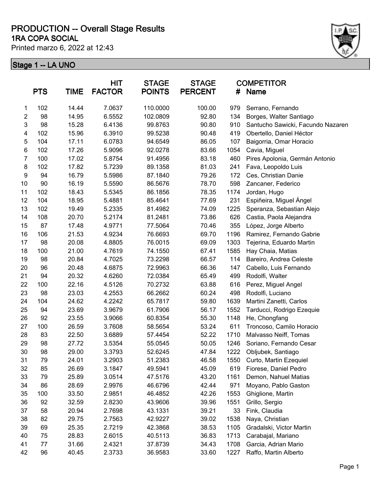#### **1RA COPA SOCIAL PRODUCTION -- Overall Stage Results**

Printed marzo 6, 2022 at 12:43



|                         | <b>PTS</b> | <b>TIME</b> | <b>HIT</b><br><b>FACTOR</b> | <b>STAGE</b><br><b>POINTS</b> | <b>STAGE</b><br><b>PERCENT</b> | #    | <b>COMPETITOR</b><br><b>Name</b>  |
|-------------------------|------------|-------------|-----------------------------|-------------------------------|--------------------------------|------|-----------------------------------|
| 1                       | 102        | 14.44       | 7.0637                      | 110.0000                      | 100.00                         | 979  | Serrano, Fernando                 |
| $\overline{2}$          | 98         | 14.95       | 6.5552                      | 102.0809                      | 92.80                          | 134  | Borges, Walter Santiago           |
| 3                       | 98         | 15.28       | 6.4136                      | 99.8763                       | 90.80                          | 910  | Santucho Sawicki, Facundo Nazaren |
| $\overline{\mathbf{4}}$ | 102        | 15.96       | 6.3910                      | 99.5238                       | 90.48                          | 419  | Obertello, Daniel Héctor          |
| 5                       | 104        | 17.11       | 6.0783                      | 94.6549                       | 86.05                          | 107  | Baigorria, Omar Horacio           |
| $\,6\,$                 | 102        | 17.26       | 5.9096                      | 92.0278                       | 83.66                          | 1054 | Cavia, Miguel                     |
| $\overline{7}$          | 100        | 17.02       | 5.8754                      | 91.4956                       | 83.18                          | 460  | Pires Apolonia, Germán Antonio    |
| $\bf 8$                 | 102        | 17.82       | 5.7239                      | 89.1358                       | 81.03                          | 241  | Fava, Leopoldo Luis               |
| $\boldsymbol{9}$        | 94         | 16.79       | 5.5986                      | 87.1840                       | 79.26                          | 172  | Ces, Christian Danie              |
| 10                      | 90         | 16.19       | 5.5590                      | 86.5676                       | 78.70                          | 598  | Zancaner, Federico                |
| 11                      | 102        | 18.43       | 5.5345                      | 86.1856                       | 78.35                          | 1174 | Jordan, Hugo                      |
| 12                      | 104        | 18.95       | 5.4881                      | 85.4641                       | 77.69                          | 231  | Espiñeira, Miguel Ángel           |
| 13                      | 102        | 19.49       | 5.2335                      | 81.4982                       | 74.09                          | 1225 | Speranza, Sebastian Alejo         |
| 14                      | 108        | 20.70       | 5.2174                      | 81.2481                       | 73.86                          | 626  | Castia, Paola Alejandra           |
| 15                      | 87         | 17.48       | 4.9771                      | 77.5064                       | 70.46                          | 355  | López, Jorge Alberto              |
| 16                      | 106        | 21.53       | 4.9234                      | 76.6693                       | 69.70                          | 1196 | Ramirez, Fernando Gabrie          |
| 17                      | 98         | 20.08       | 4.8805                      | 76.0015                       | 69.09                          | 1303 | Tejerina, Eduardo Martin          |
| 18                      | 100        | 21.00       | 4.7619                      | 74.1550                       | 67.41                          | 1585 | Hay Chaia, Matias                 |
| 19                      | 98         | 20.84       | 4.7025                      | 73.2298                       | 66.57                          | 114  | Bareiro, Andrea Celeste           |
| 20                      | 96         | 20.48       | 4.6875                      | 72.9963                       | 66.36                          | 147  | Cabello, Luis Fernando            |
| 21                      | 94         | 20.32       | 4.6260                      | 72.0384                       | 65.49                          | 499  | Rodolfi, Walter                   |
| 22                      | 100        | 22.16       | 4.5126                      | 70.2732                       | 63.88                          | 616  | Perez, Miguel Angel               |
| 23                      | 98         | 23.03       | 4.2553                      | 66.2662                       | 60.24                          | 498  | Rodolfi, Luciano                  |
| 24                      | 104        | 24.62       | 4.2242                      | 65.7817                       | 59.80                          | 1639 | Martini Zanetti, Carlos           |
| 25                      | 94         | 23.69       | 3.9679                      | 61.7906                       | 56.17                          | 1552 | Tarducci, Rodrigo Ezequie         |
| 26                      | 92         | 23.55       | 3.9066                      | 60.8354                       | 55.30                          | 1148 | He, Chongfang                     |
| 27                      | 100        | 26.59       | 3.7608                      | 58.5654                       | 53.24                          | 611  | Troncoso, Camilo Horacio          |
| 28                      | 83         | 22.50       | 3.6889                      | 57.4454                       | 52.22                          | 1710 | Malvasso Neiff, Tomas             |
| 29                      | 98         | 27.72       | 3.5354                      | 55.0545                       | 50.05                          | 1246 | Soriano, Fernando Cesar           |
| 30                      | 98         | 29.00       | 3.3793                      | 52.6245                       | 47.84                          | 1222 | Obljubek, Santiago                |
| 31                      | 79         | 24.01       | 3.2903                      | 51.2383                       | 46.58                          | 1550 | Curto, Martin Ezequiel            |
| 32                      | 85         | 26.69       | 3.1847                      | 49.5941                       | 45.09                          | 619  | Fiorese, Daniel Pedro             |
| 33                      | 79         | 25.89       | 3.0514                      | 47.5176                       | 43.20                          | 1161 | Demon, Nahuel Matias              |
| 34                      | 86         | 28.69       | 2.9976                      | 46.6796                       | 42.44                          | 971  | Moyano, Pablo Gaston              |
| 35                      | 100        | 33.50       | 2.9851                      | 46.4852                       | 42.26                          | 1553 | Ghiglione, Martin                 |
| 36                      | 92         | 32.59       | 2.8230                      | 43.9606                       | 39.96                          | 1551 | Grillo, Sergio                    |
| 37                      | 58         | 20.94       | 2.7698                      | 43.1331                       | 39.21                          | 33   | Fink, Claudia                     |
| 38                      | 82         | 29.75       | 2.7563                      | 42.9227                       | 39.02                          | 1538 | Naya, Christian                   |
| 39                      | 69         | 25.35       | 2.7219                      | 42.3868                       | 38.53                          | 1105 | Gradalski, Victor Martin          |
| 40                      | 75         | 28.83       | 2.6015                      | 40.5113                       | 36.83                          | 1713 | Carabajal, Mariano                |
| 41                      | 77         | 31.66       | 2.4321                      | 37.8739                       | 34.43                          | 1708 | Garcia, Adrian Mario              |
| 42                      | 96         | 40.45       | 2.3733                      | 36.9583                       | 33.60                          | 1227 | Raffo, Martin Alberto             |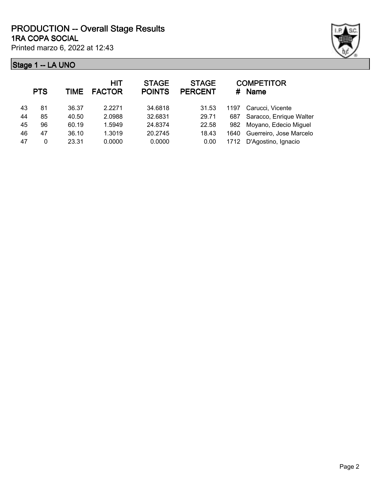## **Stage 1 -- LA UNO**

Printed marzo 6, 2022 at 12:43



|    | <b>PTS</b> | <b>TIME</b> | <b>HIT</b><br><b>FACTOR</b> | <b>STAGE</b><br><b>POINTS</b> | <b>STAGE</b><br><b>PERCENT</b> | #    | <b>COMPETITOR</b><br>Name |
|----|------------|-------------|-----------------------------|-------------------------------|--------------------------------|------|---------------------------|
| 43 | 81         | 36.37       | 2.2271                      | 34.6818                       | 31.53                          | 1197 | Carucci, Vicente          |
| 44 | 85         | 40.50       | 2.0988                      | 32.6831                       | 29.71                          | 687  | Saracco, Enrique Walter   |
| 45 | 96         | 60.19       | 1.5949                      | 24.8374                       | 22.58                          | 982  | Moyano, Edecio Miguel     |
| 46 | 47         | 36.10       | 1.3019                      | 20.2745                       | 18.43                          | 1640 | Guerreiro, Jose Marcelo   |
| 47 | 0          | 23.31       | 0.0000                      | 0.0000                        | 0.00                           | 1712 | D'Agostino, Ignacio       |
|    |            |             |                             |                               |                                |      |                           |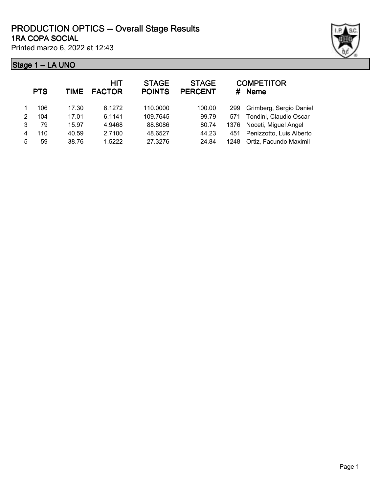|   | <b>PTS</b> | TIME  | <b>HIT</b><br><b>FACTOR</b> | <b>STAGE</b><br><b>POINTS</b> | <b>STAGE</b><br><b>PERCENT</b> |      | <b>COMPETITOR</b><br># Name  |
|---|------------|-------|-----------------------------|-------------------------------|--------------------------------|------|------------------------------|
|   | 106        | 17.30 | 6.1272                      | 110.0000                      | 100.00                         | 299  | Grimberg, Sergio Daniel      |
| 2 | 104        | 17.01 | 6.1141                      | 109.7645                      | 99.79                          | 571  | Tondini, Claudio Oscar       |
| 3 | 79         | 15.97 | 4.9468                      | 88.8086                       | 80.74                          |      | 1376 Noceti, Miguel Angel    |
| 4 | 110        | 40.59 | 2.7100                      | 48.6527                       | 44.23                          |      | 451 Penizzotto, Luis Alberto |
| 5 | 59         | 38.76 | 1.5222                      | 27.3276                       | 24.84                          | 1248 | Ortiz, Facundo Maximil       |
|   |            |       |                             |                               |                                |      |                              |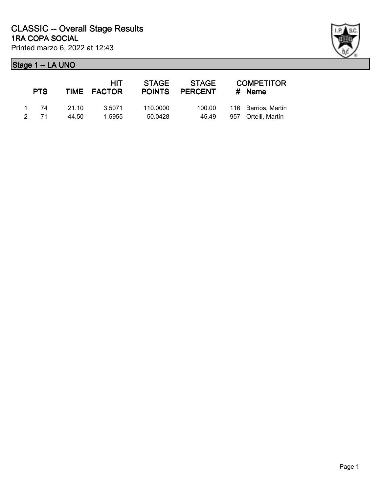| <b>PTS</b> |       | <b>HIT</b><br>TIME FACTOR | <b>STAGE</b><br><b>POINTS</b> | <b>STAGE</b><br><b>PERCENT</b> | <b>COMPETITOR</b><br>$#$ Name |
|------------|-------|---------------------------|-------------------------------|--------------------------------|-------------------------------|
| 1 74       | 21.10 | 3.5071                    | 110,0000                      | 100.00                         | 116 Barrios, Martin           |
| 2 71       | 44.50 | 1.5955                    | 50.0428                       | 45.49                          | 957 Ortelli, Martín           |

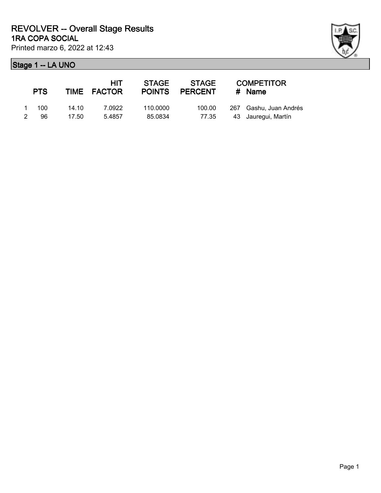|               | <b>PTS</b> |       | HIT<br>TIME FACTOR | <b>STAGE</b> | STAGE<br>POINTS PERCENT | <b>COMPETITOR</b><br>$#$ Name |
|---------------|------------|-------|--------------------|--------------|-------------------------|-------------------------------|
|               | 1 100      | 14.10 | 7.0922             | 110.0000     | 100.00                  | 267 Gashu, Juan Andrés        |
| $\mathcal{P}$ | 96.        | 17.50 | 5.4857             | 85.0834      | 77.35                   | 43 Jauregui, Martín           |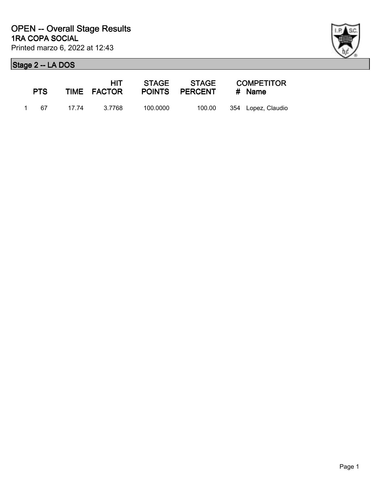

| <b>PTS</b> | HIT -             |          | STAGE STAGE COMPETITOR<br>TIME FACTOR POINTS PERCENT # Name |                    |
|------------|-------------------|----------|-------------------------------------------------------------|--------------------|
|            | 1 67 17.74 3.7768 | 100.0000 | 100.00                                                      | 354 Lopez, Claudio |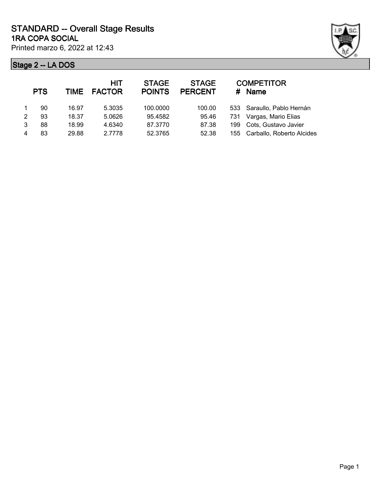

| <b>PTS</b> | TIME  | <b>HIT</b> | <b>STAGE</b><br><b>POINTS</b> | <b>STAGE</b><br><b>PERCENT</b> | #   | <b>COMPETITOR</b><br><b>Name</b> |
|------------|-------|------------|-------------------------------|--------------------------------|-----|----------------------------------|
| 90         | 16.97 | 5.3035     | 100,0000                      | 100.00                         |     | 533 Saraullo, Pablo Hernán       |
| 93         | 18.37 | 5.0626     | 95.4582                       | 95.46                          | 731 | Vargas, Mario Elias              |
| 88         | 18.99 | 4.6340     | 87.3770                       | 87.38                          | 199 | Cots, Gustavo Javier             |
| 83         | 29.88 | 2.7778     | 52.3765                       | 52.38                          |     | 155 Carballo, Roberto Alcides    |
|            |       |            | <b>FACTOR</b>                 |                                |     |                                  |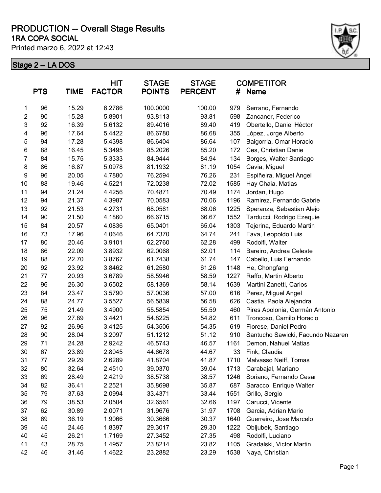#### **1RA COPA SOCIAL PRODUCTION -- Overall Stage Results**

Printed marzo 6, 2022 at 12:43



|                | <b>PTS</b> | <b>TIME</b> | <b>HIT</b><br><b>FACTOR</b> | <b>STAGE</b><br><b>POINTS</b> | <b>STAGE</b><br><b>PERCENT</b> | #    | <b>COMPETITOR</b><br>Name         |
|----------------|------------|-------------|-----------------------------|-------------------------------|--------------------------------|------|-----------------------------------|
| 1              | 96         | 15.29       | 6.2786                      | 100.0000                      | 100.00                         | 979  | Serrano, Fernando                 |
| $\overline{2}$ | 90         | 15.28       | 5.8901                      | 93.8113                       | 93.81                          | 598  | Zancaner, Federico                |
| 3              | 92         | 16.39       | 5.6132                      | 89.4016                       | 89.40                          | 419  | Obertello, Daniel Héctor          |
| 4              | 96         | 17.64       | 5.4422                      | 86.6780                       | 86.68                          | 355  | López, Jorge Alberto              |
| 5              | 94         | 17.28       | 5.4398                      | 86.6404                       | 86.64                          | 107  | Baigorria, Omar Horacio           |
| 6              | 88         | 16.45       | 5.3495                      | 85.2026                       | 85.20                          | 172  | Ces, Christian Danie              |
| $\overline{7}$ | 84         | 15.75       | 5.3333                      | 84.9444                       | 84.94                          | 134  | Borges, Walter Santiago           |
| 8              | 86         | 16.87       | 5.0978                      | 81.1932                       | 81.19                          | 1054 | Cavia, Miguel                     |
| 9              | 96         | 20.05       | 4.7880                      | 76.2594                       | 76.26                          | 231  | Espiñeira, Miguel Ángel           |
| 10             | 88         | 19.46       | 4.5221                      | 72.0238                       | 72.02                          | 1585 | Hay Chaia, Matias                 |
| 11             | 94         | 21.24       | 4.4256                      | 70.4871                       | 70.49                          | 1174 | Jordan, Hugo                      |
| 12             | 94         | 21.37       | 4.3987                      | 70.0583                       | 70.06                          | 1196 | Ramirez, Fernando Gabrie          |
| 13             | 92         | 21.53       | 4.2731                      | 68.0581                       | 68.06                          | 1225 | Speranza, Sebastian Alejo         |
| 14             | 90         | 21.50       | 4.1860                      | 66.6715                       | 66.67                          | 1552 | Tarducci, Rodrigo Ezequie         |
| 15             | 84         | 20.57       | 4.0836                      | 65.0401                       | 65.04                          | 1303 | Tejerina, Eduardo Martin          |
| 16             | 73         | 17.96       | 4.0646                      | 64.7370                       | 64.74                          | 241  | Fava, Leopoldo Luis               |
| 17             | 80         | 20.46       | 3.9101                      | 62.2760                       | 62.28                          | 499  | Rodolfi, Walter                   |
| 18             | 86         | 22.09       | 3.8932                      | 62.0068                       | 62.01                          | 114  | Bareiro, Andrea Celeste           |
| 19             | 88         | 22.70       | 3.8767                      | 61.7438                       | 61.74                          | 147  | Cabello, Luis Fernando            |
| 20             | 92         | 23.92       | 3.8462                      | 61.2580                       | 61.26                          | 1148 | He, Chongfang                     |
| 21             | 77         | 20.93       | 3.6789                      | 58.5946                       | 58.59                          | 1227 | Raffo, Martin Alberto             |
| 22             | 96         | 26.30       | 3.6502                      | 58.1369                       | 58.14                          | 1639 | Martini Zanetti, Carlos           |
| 23             | 84         | 23.47       | 3.5790                      | 57.0036                       | 57.00                          | 616  | Perez, Miguel Angel               |
| 24             | 88         | 24.77       | 3.5527                      | 56.5839                       | 56.58                          | 626  | Castia, Paola Alejandra           |
| 25             | 75         | 21.49       | 3.4900                      | 55.5854                       | 55.59                          | 460  | Pires Apolonia, Germán Antonio    |
| 26             | 96         | 27.89       | 3.4421                      | 54.8225                       | 54.82                          | 611  | Troncoso, Camilo Horacio          |
| 27             | 92         | 26.96       | 3.4125                      | 54.3506                       | 54.35                          | 619  | Fiorese, Daniel Pedro             |
| 28             | 90         | 28.04       | 3.2097                      | 51.1212                       | 51.12                          | 910  | Santucho Sawicki, Facundo Nazaren |
| 29             | 71         | 24.28       | 2.9242                      | 46.5743                       | 46.57                          | 1161 | Demon, Nahuel Matias              |
| 30             | 67         | 23.89       | 2.8045                      | 44.6678                       | 44.67                          | 33   | Fink, Claudia                     |
| 31             | 77         | 29.29       | 2.6289                      | 41.8704                       | 41.87                          | 1710 | Malvasso Neiff, Tomas             |
| 32             | 80         | 32.64       | 2.4510                      | 39.0370                       | 39.04                          | 1713 | Carabajal, Mariano                |
| 33             | 69         | 28.49       | 2.4219                      | 38.5738                       | 38.57                          | 1246 | Soriano, Fernando Cesar           |
| 34             | 82         | 36.41       | 2.2521                      | 35.8698                       | 35.87                          | 687  | Saracco, Enrique Walter           |
| 35             | 79         | 37.63       | 2.0994                      | 33.4371                       | 33.44                          | 1551 | Grillo, Sergio                    |
| 36             | 79         | 38.53       | 2.0504                      | 32.6561                       | 32.66                          | 1197 | Carucci, Vicente                  |
| 37             | 62         | 30.89       | 2.0071                      | 31.9676                       | 31.97                          | 1708 | Garcia, Adrian Mario              |
| 38             | 69         | 36.19       | 1.9066                      | 30.3666                       | 30.37                          | 1640 | Guerreiro, Jose Marcelo           |
| 39             | 45         | 24.46       | 1.8397                      | 29.3017                       | 29.30                          | 1222 | Obljubek, Santiago                |
| 40             | 45         | 26.21       | 1.7169                      | 27.3452                       | 27.35                          | 498  | Rodolfi, Luciano                  |
| 41             | 43         | 28.75       | 1.4957                      | 23.8214                       | 23.82                          | 1105 | Gradalski, Victor Martin          |
| 42             | 46         | 31.46       | 1.4622                      | 23.2882                       | 23.29                          | 1538 | Naya, Christian                   |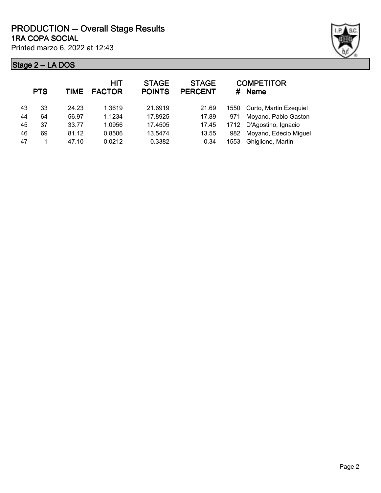

| Curto, Martin Ezequiel |
|------------------------|
| Moyano, Pablo Gaston   |
| D'Agostino, Ignacio    |
| Moyano, Edecio Miguel  |
| Ghiglione, Martin      |
|                        |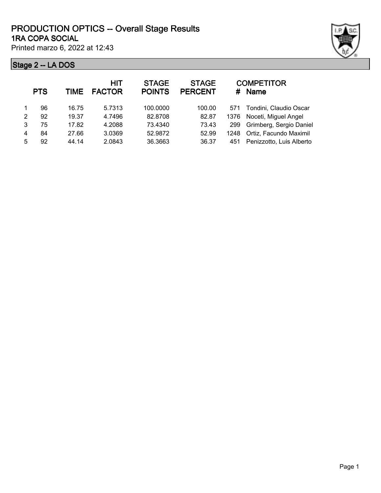|   | <b>PTS</b> | <b>TIME</b> | <b>HIT</b><br><b>FACTOR</b> | <b>STAGE</b><br><b>POINTS</b> | <b>STAGE</b><br><b>PERCENT</b> |      | <b>COMPETITOR</b><br># Name |
|---|------------|-------------|-----------------------------|-------------------------------|--------------------------------|------|-----------------------------|
|   | 96         | 16.75       | 5.7313                      | 100.0000                      | 100.00                         |      | 571 Tondini, Claudio Oscar  |
| 2 | 92         | 19.37       | 4.7496                      | 82.8708                       | 82.87                          | 1376 | Noceti, Miguel Angel        |
| 3 | 75         | 17.82       | 4.2088                      | 73.4340                       | 73.43                          | 299  | Grimberg, Sergio Daniel     |
| 4 | 84         | 27.66       | 3.0369                      | 52.9872                       | 52.99                          | 1248 | Ortiz, Facundo Maximil      |
| 5 | 92         | 44.14       | 2.0843                      | 36.3663                       | 36.37                          | 451  | Penizzotto, Luis Alberto    |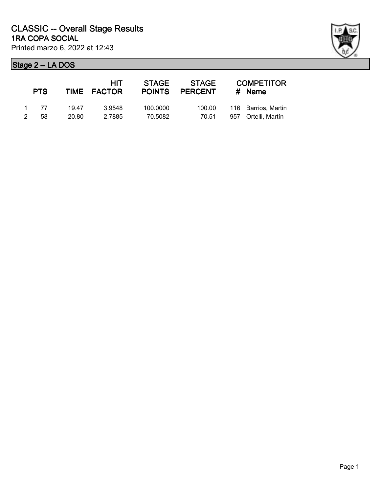|               | <b>PTS</b> |       | HIT<br>TIME FACTOR | <b>STAGE</b><br><b>POINTS</b> | STAGE<br><b>PERCENT</b> | <b>COMPETITOR</b><br># Name |
|---------------|------------|-------|--------------------|-------------------------------|-------------------------|-----------------------------|
|               | 1 77       | 19.47 | 3.9548             | 100,0000                      | 100.00                  | 116 Barrios, Martin         |
| $\mathcal{P}$ | 58.        | 20.80 | 2.7885             | 70.5082                       | 70.51                   | 957 Ortelli, Martín         |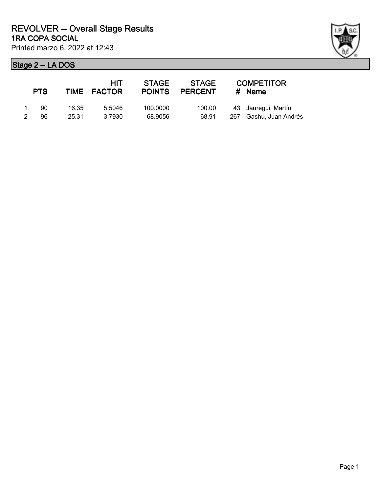| ł |  |
|---|--|

|   | <b>PTS</b> |       | HIT<br>TIME FACTOR | <b>STAGE</b> | STAGE<br>POINTS PERCENT | <b>COMPETITOR</b><br>$#$ Name |
|---|------------|-------|--------------------|--------------|-------------------------|-------------------------------|
|   | 90         | 16.35 | 5.5046             | 100,0000     | 100.00                  | 43 Jauregui, Martín           |
| 2 | 96         | 25.31 | 3.7930             | 68.9056      | 68.91                   | 267 Gashu, Juan Andrés        |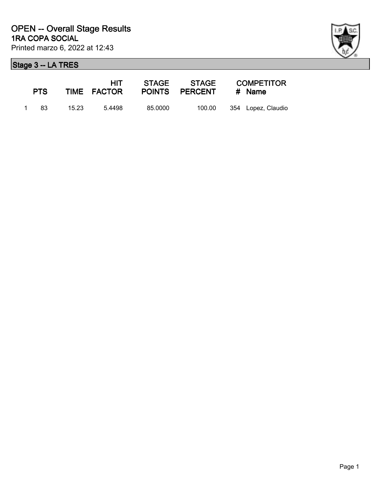

| <b>PTS</b> |       | HIT.<br>TIME FACTOR |         | POINTS PERCENT | <b>COMPETITOR</b><br># Name |                    |
|------------|-------|---------------------|---------|----------------|-----------------------------|--------------------|
| 1 83       | 15.23 | 5.4498              | 85.0000 | 100.00         |                             | 354 Lopez, Claudio |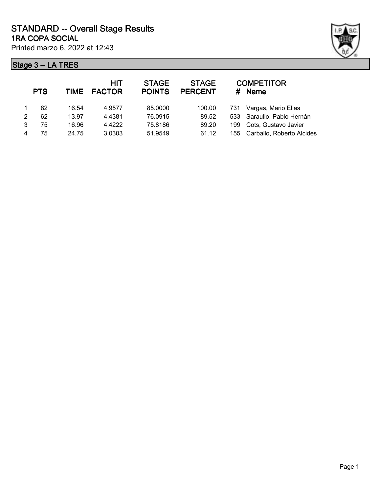

|   | <b>PTS</b> | TIME  | <b>HIT</b><br><b>FACTOR</b> | <b>STAGE</b><br><b>POINTS</b> | <b>STAGE</b><br><b>PERCENT</b> | #   | <b>COMPETITOR</b><br>Name     |
|---|------------|-------|-----------------------------|-------------------------------|--------------------------------|-----|-------------------------------|
|   | 82         | 16.54 | 4.9577                      | 85.0000                       | 100.00                         | 731 | Vargas, Mario Elias           |
| 2 | 62         | 13.97 | 4.4381                      | 76.0915                       | 89.52                          |     | 533 Saraullo, Pablo Hernán    |
| 3 | 75         | 16.96 | 4.4222                      | 75.8186                       | 89.20                          | 199 | Cots, Gustavo Javier          |
|   | 75         | 24.75 | 3.0303                      | 51.9549                       | 61.12                          |     | 155 Carballo, Roberto Alcides |
|   |            |       |                             |                               |                                |     |                               |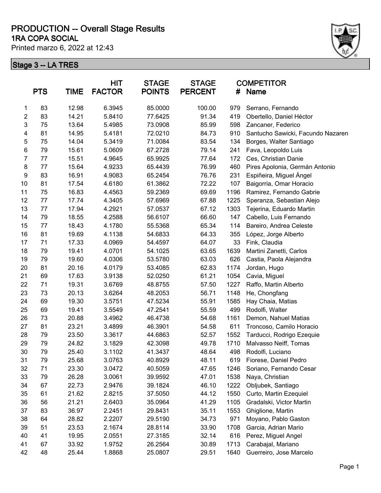#### **1RA COPA SOCIAL PRODUCTION -- Overall Stage Results**

Printed marzo 6, 2022 at 12:43



|                         | <b>PTS</b> | <b>TIME</b> | <b>HIT</b><br><b>FACTOR</b> | <b>STAGE</b><br><b>POINTS</b> | <b>STAGE</b><br><b>PERCENT</b> | #    | <b>COMPETITOR</b><br><b>Name</b>  |
|-------------------------|------------|-------------|-----------------------------|-------------------------------|--------------------------------|------|-----------------------------------|
| 1                       | 83         | 12.98       | 6.3945                      | 85.0000                       | 100.00                         | 979  | Serrano, Fernando                 |
| $\overline{\mathbf{c}}$ | 83         | 14.21       | 5.8410                      | 77.6425                       | 91.34                          | 419  | Obertello, Daniel Héctor          |
| 3                       | 75         | 13.64       | 5.4985                      | 73.0908                       | 85.99                          | 598  | Zancaner, Federico                |
| 4                       | 81         | 14.95       | 5.4181                      | 72.0210                       | 84.73                          | 910  | Santucho Sawicki, Facundo Nazaren |
| 5                       | 75         | 14.04       | 5.3419                      | 71.0084                       | 83.54                          | 134  | Borges, Walter Santiago           |
| 6                       | 79         | 15.61       | 5.0609                      | 67.2728                       | 79.14                          | 241  | Fava, Leopoldo Luis               |
| $\overline{7}$          | 77         | 15.51       | 4.9645                      | 65.9925                       | 77.64                          | 172  | Ces, Christian Danie              |
| 8                       | 77         | 15.64       | 4.9233                      | 65.4439                       | 76.99                          | 460  | Pires Apolonia, Germán Antonio    |
| 9                       | 83         | 16.91       | 4.9083                      | 65.2454                       | 76.76                          | 231  | Espiñeira, Miguel Ángel           |
| 10                      | 81         | 17.54       | 4.6180                      | 61.3862                       | 72.22                          | 107  | Baigorria, Omar Horacio           |
| 11                      | 75         | 16.83       | 4.4563                      | 59.2369                       | 69.69                          | 1196 | Ramirez, Fernando Gabrie          |
| 12                      | 77         | 17.74       | 4.3405                      | 57.6969                       | 67.88                          | 1225 | Speranza, Sebastian Alejo         |
| 13                      | 77         | 17.94       | 4.2921                      | 57.0537                       | 67.12                          | 1303 | Tejerina, Eduardo Martin          |
| 14                      | 79         | 18.55       | 4.2588                      | 56.6107                       | 66.60                          | 147  | Cabello, Luis Fernando            |
| 15                      | 77         | 18.43       | 4.1780                      | 55.5368                       | 65.34                          | 114  | Bareiro, Andrea Celeste           |
| 16                      | 81         | 19.69       | 4.1138                      | 54.6833                       | 64.33                          | 355  | López, Jorge Alberto              |
| 17                      | 71         | 17.33       | 4.0969                      | 54.4597                       | 64.07                          | 33   | Fink, Claudia                     |
| 18                      | 79         | 19.41       | 4.0701                      | 54.1025                       | 63.65                          | 1639 | Martini Zanetti, Carlos           |
| 19                      | 79         | 19.60       | 4.0306                      | 53.5780                       | 63.03                          | 626  | Castia, Paola Alejandra           |
| 20                      | 81         | 20.16       | 4.0179                      | 53.4085                       | 62.83                          | 1174 | Jordan, Hugo                      |
| 21                      | 69         | 17.63       | 3.9138                      | 52.0250                       | 61.21                          | 1054 | Cavia, Miguel                     |
| 22                      | 71         | 19.31       | 3.6769                      | 48.8755                       | 57.50                          | 1227 | Raffo, Martin Alberto             |
| 23                      | 73         | 20.13       | 3.6264                      | 48.2053                       | 56.71                          | 1148 | He, Chongfang                     |
| 24                      | 69         | 19.30       | 3.5751                      | 47.5234                       | 55.91                          | 1585 | Hay Chaia, Matias                 |
| 25                      | 69         | 19.41       | 3.5549                      | 47.2541                       | 55.59                          | 499  | Rodolfi, Walter                   |
| 26                      | 73         | 20.88       | 3.4962                      | 46.4738                       | 54.68                          | 1161 | Demon, Nahuel Matias              |
| 27                      | 81         | 23.21       | 3.4899                      | 46.3901                       | 54.58                          | 611  | Troncoso, Camilo Horacio          |
| 28                      | 79         | 23.50       | 3.3617                      | 44.6863                       | 52.57                          | 1552 | Tarducci, Rodrigo Ezequie         |
| 29                      | 79         | 24.82       | 3.1829                      | 42.3098                       | 49.78                          | 1710 | Malvasso Neiff, Tomas             |
| 30                      | 79         | 25.40       | 3.1102                      | 41.3437                       | 48.64                          | 498  | Rodolfi, Luciano                  |
| 31                      | 79         | 25.68       | 3.0763                      | 40.8929                       | 48.11                          | 619  | Fiorese, Daniel Pedro             |
| 32                      | 71         | 23.30       | 3.0472                      | 40.5059                       | 47.65                          | 1246 | Soriano, Fernando Cesar           |
| 33                      | 79         | 26.28       | 3.0061                      | 39.9592                       | 47.01                          | 1538 | Naya, Christian                   |
| 34                      | 67         | 22.73       | 2.9476                      | 39.1824                       | 46.10                          | 1222 | Obljubek, Santiago                |
| 35                      | 61         | 21.62       | 2.8215                      | 37.5050                       | 44.12                          | 1550 | Curto, Martin Ezequiel            |
| 36                      | 56         | 21.21       | 2.6403                      | 35.0964                       | 41.29                          | 1105 | Gradalski, Victor Martin          |
| 37                      | 83         | 36.97       | 2.2451                      | 29.8431                       | 35.11                          | 1553 | Ghiglione, Martin                 |
| 38                      | 64         | 28.82       | 2.2207                      | 29.5190                       | 34.73                          | 971  | Moyano, Pablo Gaston              |
| 39                      | 51         | 23.53       | 2.1674                      | 28.8114                       | 33.90                          | 1708 | Garcia, Adrian Mario              |
| 40                      | 41         | 19.95       | 2.0551                      | 27.3185                       | 32.14                          | 616  | Perez, Miguel Angel               |
| 41                      | 67         | 33.92       | 1.9752                      | 26.2564                       | 30.89                          | 1713 | Carabajal, Mariano                |
| 42                      | 48         | 25.44       | 1.8868                      | 25.0807                       | 29.51                          | 1640 | Guerreiro, Jose Marcelo           |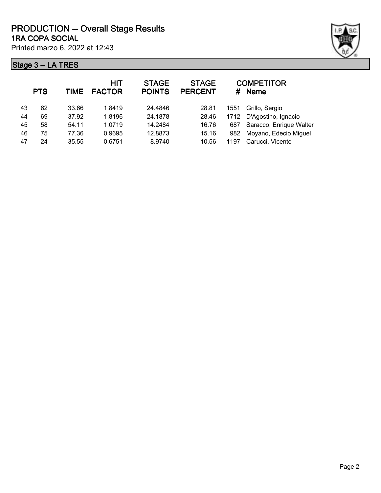|    | <b>PTS</b> | TIME  | <b>HIT</b><br><b>FACTOR</b> | <b>STAGE</b><br><b>POINTS</b> | <b>STAGE</b><br><b>PERCENT</b> |      | <b>COMPETITOR</b><br># Name |
|----|------------|-------|-----------------------------|-------------------------------|--------------------------------|------|-----------------------------|
| 43 | 62         | 33.66 | 1.8419                      | 24.4846                       | 28.81                          | 1551 | Grillo, Sergio              |
| 44 | 69         | 37.92 | 1.8196                      | 24.1878                       | 28.46                          |      | 1712 D'Agostino, Ignacio    |
| 45 | 58         | 54.11 | 1.0719                      | 14.2484                       | 16.76                          | 687  | Saracco, Enrique Walter     |
| 46 | 75         | 77.36 | 0.9695                      | 12.8873                       | 15.16                          | 982  | Moyano, Edecio Miguel       |
| 47 | 24         | 35.55 | 0.6751                      | 8.9740                        | 10.56                          | 1197 | Carucci, Vicente            |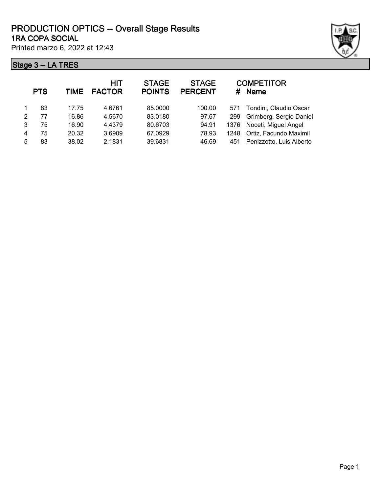|    | 90 U       | ------ |                             |                               |                                |      |                                  |
|----|------------|--------|-----------------------------|-------------------------------|--------------------------------|------|----------------------------------|
|    | <b>PTS</b> | TIME   | <b>HIT</b><br><b>FACTOR</b> | <b>STAGE</b><br><b>POINTS</b> | <b>STAGE</b><br><b>PERCENT</b> | #    | <b>COMPETITOR</b><br><b>Name</b> |
| 1. | 83         | 17.75  | 4.6761                      | 85.0000                       | 100.00                         | 571  | Tondini, Claudio Oscar           |
| 2  | 77         | 16.86  | 4.5670                      | 83.0180                       | 97.67                          | 299  | Grimberg, Sergio Daniel          |
| 3  | 75         | 16.90  | 4.4379                      | 80.6703                       | 94.91                          | 1376 | Noceti, Miguel Angel             |
| 4  | 75         | 20.32  | 3.6909                      | 67.0929                       | 78.93                          | 1248 | Ortiz, Facundo Maximil           |
| 5. | 83         | 38.02  | 2.1831                      | 39.6831                       | 46.69                          | 451  | Penizzotto, Luis Alberto         |
|    |            |        |                             |                               |                                |      |                                  |

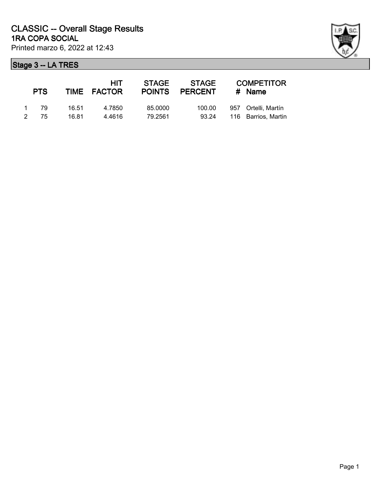| <b>PTS</b> |       | <b>HIT</b><br>TIME FACTOR | <b>STAGE</b> | STAGE<br>POINTS PERCENT | <b>COMPETITOR</b><br>$#$ Name |
|------------|-------|---------------------------|--------------|-------------------------|-------------------------------|
| 1 79       | 16.51 | 4.7850                    | 85,0000      | 100.00                  | 957 Ortelli, Martín           |
| 2 75       | 16.81 | 4.4616                    | 79.2561      | 93.24                   | 116 Barrios, Martin           |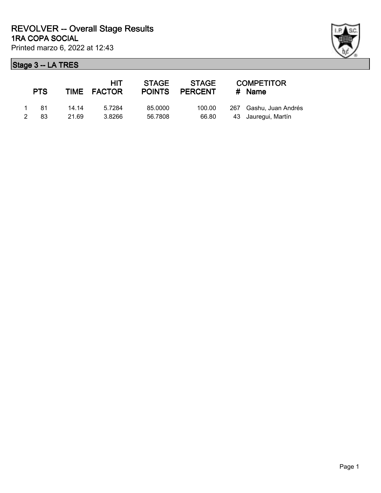| <b>PTS</b>                  |                | HIT<br>TIME FACTOR | <b>STAGE</b>       | STAGE<br>POINTS PERCENT | <b>COMPETITOR</b><br>$#$ Name                 |
|-----------------------------|----------------|--------------------|--------------------|-------------------------|-----------------------------------------------|
| 1 81<br>83<br>$\mathcal{P}$ | 14.14<br>21.69 | 5.7284<br>3.8266   | 85,0000<br>56.7808 | 100.00<br>66.80         | 267 Gashu, Juan Andrés<br>43 Jauregui, Martín |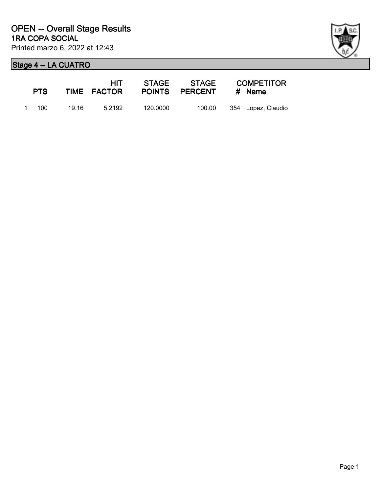| ł |
|---|

| <b>PTS</b> |       | HIT -<br>TIME FACTOR |          | STAGE            STAGE<br>POINTS PERCENT | <b>COMPETITOR</b><br># Name |
|------------|-------|----------------------|----------|------------------------------------------|-----------------------------|
| 1 100      | 19.16 | 5.2192               | 120.0000 | 100.00                                   | 354 Lopez, Claudio          |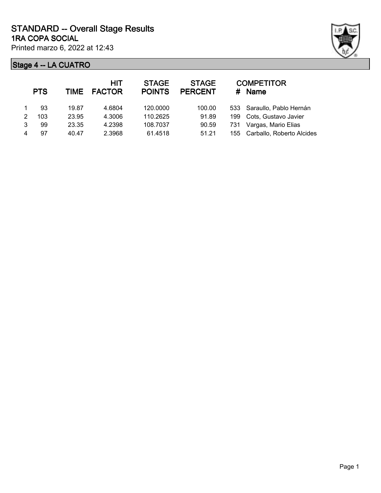

|   | <b>PTS</b> |       | <b>HIT</b><br>TIME FACTOR | <b>STAGE</b><br><b>POINTS</b> | <b>STAGE</b><br><b>PERCENT</b> | #   | <b>COMPETITOR</b><br>Name     |
|---|------------|-------|---------------------------|-------------------------------|--------------------------------|-----|-------------------------------|
|   | 93         | 19.87 | 4.6804                    | 120.0000                      | 100.00                         |     | 533 Saraullo, Pablo Hernán    |
| 2 | 103        | 23.95 | 4.3006                    | 110.2625                      | 91.89                          | 199 | Cots, Gustavo Javier          |
| 3 | 99         | 23.35 | 4.2398                    | 108.7037                      | 90.59                          | 731 | Vargas, Mario Elias           |
|   | 97         | 40.47 | 2.3968                    | 61.4518                       | 51.21                          |     | 155 Carballo, Roberto Alcides |
|   |            |       |                           |                               |                                |     |                               |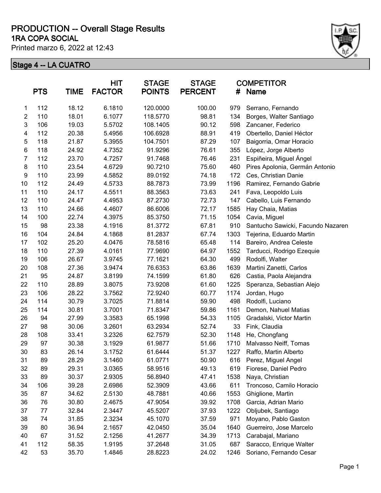#### **1RA COPA SOCIAL PRODUCTION -- Overall Stage Results**

Printed marzo 6, 2022 at 12:43



|                | <b>PTS</b> | TIME  | <b>HIT</b><br><b>FACTOR</b> | <b>STAGE</b><br><b>POINTS</b> | <b>STAGE</b><br><b>PERCENT</b> | <b>COMPETITOR</b><br>#<br>Name |                                   |
|----------------|------------|-------|-----------------------------|-------------------------------|--------------------------------|--------------------------------|-----------------------------------|
| 1              | 112        | 18.12 | 6.1810                      | 120.0000                      | 100.00                         | 979                            | Serrano, Fernando                 |
| $\overline{2}$ | 110        | 18.01 | 6.1077                      | 118.5770                      | 98.81                          | 134                            | Borges, Walter Santiago           |
| 3              | 106        | 19.03 | 5.5702                      | 108.1405                      | 90.12                          | 598                            | Zancaner, Federico                |
| 4              | 112        | 20.38 | 5.4956                      | 106.6928                      | 88.91                          | 419                            | Obertello, Daniel Héctor          |
| 5              | 118        | 21.87 | 5.3955                      | 104.7501                      | 87.29                          | 107                            | Baigorria, Omar Horacio           |
| 6              | 118        | 24.92 | 4.7352                      | 91.9296                       | 76.61                          | 355                            | López, Jorge Alberto              |
| 7              | 112        | 23.70 | 4.7257                      | 91.7468                       | 76.46                          | 231                            | Espiñeira, Miguel Ángel           |
| 8              | 110        | 23.54 | 4.6729                      | 90.7210                       | 75.60                          | 460                            | Pires Apolonia, Germán Antonio    |
| 9              | 110        | 23.99 | 4.5852                      | 89.0192                       | 74.18                          | 172                            | Ces, Christian Danie              |
| 10             | 112        | 24.49 | 4.5733                      | 88.7873                       | 73.99                          | 1196                           | Ramirez, Fernando Gabrie          |
| 11             | 110        | 24.17 | 4.5511                      | 88.3563                       | 73.63                          | 241                            | Fava, Leopoldo Luis               |
| 12             | 110        | 24.47 | 4.4953                      | 87.2730                       | 72.73                          | 147                            | Cabello, Luis Fernando            |
| 13             | 110        | 24.66 | 4.4607                      | 86.6006                       | 72.17                          | 1585                           | Hay Chaia, Matias                 |
| 14             | 100        | 22.74 | 4.3975                      | 85.3750                       | 71.15                          | 1054                           | Cavia, Miguel                     |
| 15             | 98         | 23.38 | 4.1916                      | 81.3772                       | 67.81                          | 910                            | Santucho Sawicki, Facundo Nazaren |
| 16             | 104        | 24.84 | 4.1868                      | 81.2837                       | 67.74                          | 1303                           | Tejerina, Eduardo Martin          |
| 17             | 102        | 25.20 | 4.0476                      | 78.5816                       | 65.48                          | 114                            | Bareiro, Andrea Celeste           |
| 18             | 110        | 27.39 | 4.0161                      | 77.9690                       | 64.97                          | 1552                           | Tarducci, Rodrigo Ezequie         |
| 19             | 106        | 26.67 | 3.9745                      | 77.1621                       | 64.30                          | 499                            | Rodolfi, Walter                   |
| 20             | 108        | 27.36 | 3.9474                      | 76.6353                       | 63.86                          | 1639                           | Martini Zanetti, Carlos           |
| 21             | 95         | 24.87 | 3.8199                      | 74.1599                       | 61.80                          | 626                            | Castia, Paola Alejandra           |
| 22             | 110        | 28.89 | 3.8075                      | 73.9208                       | 61.60                          | 1225                           | Speranza, Sebastian Alejo         |
| 23             | 106        | 28.22 | 3.7562                      | 72.9240                       | 60.77                          | 1174                           | Jordan, Hugo                      |
| 24             | 114        | 30.79 | 3.7025                      | 71.8814                       | 59.90                          | 498                            | Rodolfi, Luciano                  |
| 25             | 114        | 30.81 | 3.7001                      | 71.8347                       | 59.86                          | 1161                           | Demon, Nahuel Matias              |
| 26             | 94         | 27.99 | 3.3583                      | 65.1998                       | 54.33                          | 1105                           | Gradalski, Victor Martin          |
| 27             | 98         | 30.06 | 3.2601                      | 63.2934                       | 52.74                          | 33                             | Fink, Claudia                     |
| 28             | 108        | 33.41 | 3.2326                      | 62.7579                       | 52.30                          | 1148                           | He, Chongfang                     |
| 29             | 97         | 30.38 | 3.1929                      | 61.9877                       | 51.66                          | 1710                           | Malvasso Neiff, Tomas             |
| 30             | 83         | 26.14 | 3.1752                      | 61.6444                       | 51.37                          | 1227                           | Raffo, Martin Alberto             |
| 31             | 89         | 28.29 | 3.1460                      | 61.0771                       | 50.90                          | 616                            | Perez, Miguel Angel               |
| 32             | 89         | 29.31 | 3.0365                      | 58.9516                       | 49.13                          | 619                            | Fiorese, Daniel Pedro             |
| 33             | 89         | 30.37 | 2.9305                      | 56.8940                       | 47.41                          | 1538                           | Naya, Christian                   |
| 34             | 106        | 39.28 | 2.6986                      | 52.3909                       | 43.66                          | 611                            | Troncoso, Camilo Horacio          |
| 35             | 87         | 34.62 | 2.5130                      | 48.7881                       | 40.66                          | 1553                           | Ghiglione, Martin                 |
| 36             | 76         | 30.80 | 2.4675                      | 47.9054                       | 39.92                          | 1708                           | Garcia, Adrian Mario              |
| 37             | 77         | 32.84 | 2.3447                      | 45.5207                       | 37.93                          | 1222                           | Obljubek, Santiago                |
| 38             | 74         | 31.85 | 2.3234                      | 45.1070                       | 37.59                          | 971                            | Moyano, Pablo Gaston              |
| 39             | 80         | 36.94 | 2.1657                      | 42.0450                       | 35.04                          | 1640                           | Guerreiro, Jose Marcelo           |
| 40             | 67         | 31.52 | 2.1256                      | 41.2677                       | 34.39                          | 1713                           | Carabajal, Mariano                |
| 41             | 112        | 58.35 | 1.9195                      | 37.2648                       | 31.05                          | 687                            | Saracco, Enrique Walter           |
| 42             | 53         | 35.70 | 1.4846                      | 28.8223                       | 24.02                          | 1246                           | Soriano, Fernando Cesar           |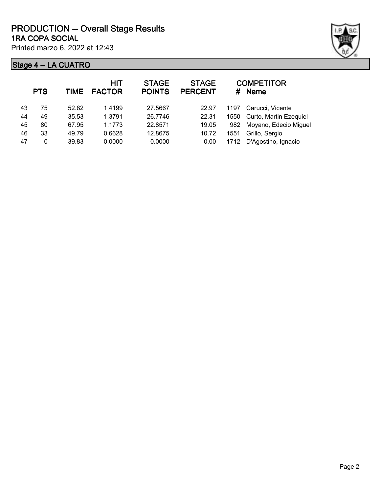

|    | <b>PTS</b> | TIME  | <b>HIT</b><br><b>FACTOR</b> | <b>STAGE</b><br><b>POINTS</b> | <b>STAGE</b><br><b>PERCENT</b> | #    | <b>COMPETITOR</b><br><b>Name</b> |
|----|------------|-------|-----------------------------|-------------------------------|--------------------------------|------|----------------------------------|
| 43 | 75         | 52.82 | 1.4199                      | 27.5667                       | 22.97                          | 1197 | Carucci, Vicente                 |
| 44 | 49         | 35.53 | 1.3791                      | 26.7746                       | 22.31                          | 1550 | Curto, Martin Ezequiel           |
| 45 | 80         | 67.95 | 1.1773                      | 22.8571                       | 19.05                          | 982  | Moyano, Edecio Miguel            |
| 46 | 33         | 49.79 | 0.6628                      | 12.8675                       | 10.72                          | 1551 | Grillo, Sergio                   |
| 47 | 0          | 39.83 | 0.0000                      | 0.0000                        | 0.00                           | 1712 | D'Agostino, Ignacio              |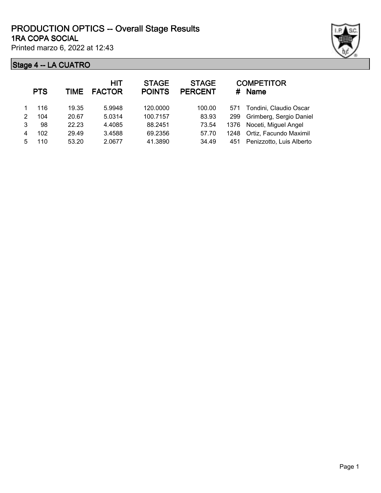|   | <b>PTS</b> | <b>TIME</b> | <b>HIT</b><br><b>FACTOR</b> | <b>STAGE</b><br><b>POINTS</b> | <b>STAGE</b><br><b>PERCENT</b> |      | <b>COMPETITOR</b><br># Name  |
|---|------------|-------------|-----------------------------|-------------------------------|--------------------------------|------|------------------------------|
|   | 116        | 19.35       | 5.9948                      | 120.0000                      | 100.00                         | 571  | Tondini, Claudio Oscar       |
| 2 | 104        | 20.67       | 5.0314                      | 100.7157                      | 83.93                          | 299  | Grimberg, Sergio Daniel      |
| 3 | 98         | 22.23       | 4.4085                      | 88.2451                       | 73.54                          |      | 1376 Noceti, Miguel Angel    |
| 4 | 102        | 29.49       | 3.4588                      | 69.2356                       | 57.70                          | 1248 | Ortiz, Facundo Maximil       |
| 5 | 110        | 53.20       | 2.0677                      | 41.3890                       | 34.49                          |      | 451 Penizzotto, Luis Alberto |
|   |            |             |                             |                               |                                |      |                              |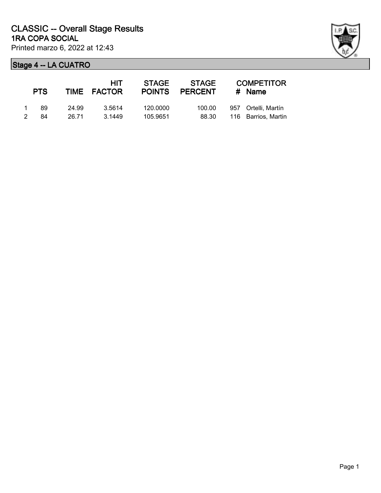|               | <b>PTS</b> |       | HIT<br>TIME FACTOR | <b>STAGE</b><br><b>POINTS</b> | STAGE<br><b>PERCENT</b> | <b>COMPETITOR</b><br>$#$ Name |
|---------------|------------|-------|--------------------|-------------------------------|-------------------------|-------------------------------|
|               | 89         | 24.99 | 3.5614             | 120.0000                      | 100.00                  | 957 Ortelli, Martín           |
| $\mathcal{P}$ | 84         | 26.71 | 3.1449             | 105.9651                      | 88.30                   | 116 Barrios, Martin           |

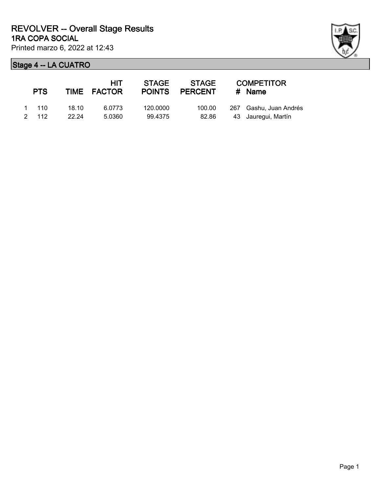| <b>PTS</b>    |       | HIT<br>TIME FACTOR | <b>STAGE</b> | STAGE<br>POINTS PERCENT | <b>COMPETITOR</b><br>$#$ Name |
|---------------|-------|--------------------|--------------|-------------------------|-------------------------------|
| $1 \quad 110$ | 18.10 | 6.0773             | 120,0000     | 100.00                  | 267 Gashu, Juan Andrés        |
| 2 112         | 22.24 | 5.0360             | 99.4375      | 82.86                   | 43 Jauregui, Martín           |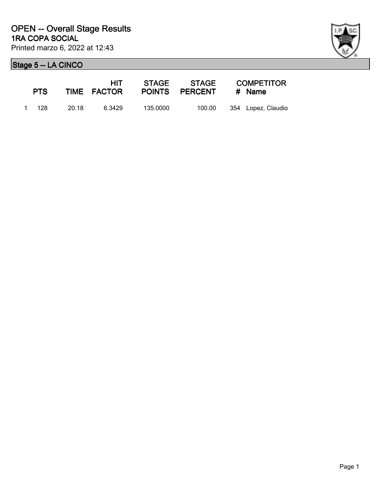| <b>PTS</b> |       |        | HIT -<br>TIME FACTOR |          | POINTS PERCENT # Name | STAGE STAGE COMPETITOR |                    |
|------------|-------|--------|----------------------|----------|-----------------------|------------------------|--------------------|
|            | 1 128 | -20.18 | 6.3429               | 135.0000 | 100.00                |                        | 354 Lopez, Claudio |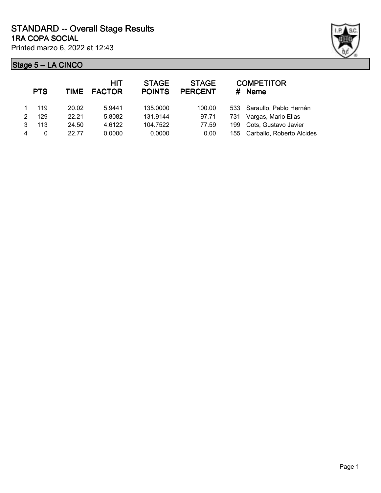



|   | <b>PTS</b> |       | HIT<br>TIME FACTOR | <b>STAGE</b><br><b>POINTS</b> | <b>STAGE</b><br><b>PERCENT</b> | #   | <b>COMPETITOR</b><br>Name     |
|---|------------|-------|--------------------|-------------------------------|--------------------------------|-----|-------------------------------|
|   | 119        | 20.02 | 5.9441             | 135.0000                      | 100.00                         |     | 533 Saraullo, Pablo Hernán    |
| 2 | 129        | 22.21 | 5.8082             | 131.9144                      | 97.71                          | 731 | Vargas, Mario Elias           |
| 3 | 113        | 24.50 | 4.6122             | 104.7522                      | 77.59                          | 199 | Cots, Gustavo Javier          |
| 4 | 0          | 22 77 | 0.0000             | 0.0000                        | 0.00                           |     | 155 Carballo, Roberto Alcides |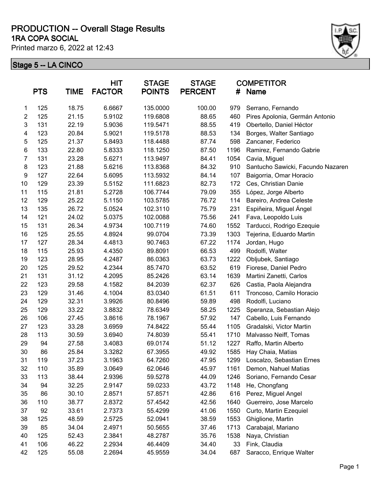#### **1RA COPA SOCIAL PRODUCTION -- Overall Stage Results**

Printed marzo 6, 2022 at 12:43



|                  | <b>PTS</b> | <b>TIME</b> | <b>HIT</b><br><b>FACTOR</b> | <b>STAGE</b><br><b>POINTS</b> | <b>STAGE</b><br><b>PERCENT</b> | #    | <b>COMPETITOR</b><br>Name         |
|------------------|------------|-------------|-----------------------------|-------------------------------|--------------------------------|------|-----------------------------------|
| 1                | 125        | 18.75       | 6.6667                      | 135.0000                      | 100.00                         | 979  | Serrano, Fernando                 |
| $\overline{2}$   | 125        | 21.15       | 5.9102                      | 119.6808                      | 88.65                          | 460  | Pires Apolonia, Germán Antonio    |
| 3                | 131        | 22.19       | 5.9036                      | 119.5471                      | 88.55                          | 419  | Obertello, Daniel Héctor          |
| 4                | 123        | 20.84       | 5.9021                      | 119.5178                      | 88.53                          | 134  | Borges, Walter Santiago           |
| 5                | 125        | 21.37       | 5.8493                      | 118.4488                      | 87.74                          | 598  | Zancaner, Federico                |
| 6                | 133        | 22.80       | 5.8333                      | 118.1250                      | 87.50                          | 1196 | Ramirez, Fernando Gabrie          |
| 7                | 131        | 23.28       | 5.6271                      | 113.9497                      | 84.41                          | 1054 | Cavia, Miguel                     |
| $\bf 8$          | 123        | 21.88       | 5.6216                      | 113.8368                      | 84.32                          | 910  | Santucho Sawicki, Facundo Nazaren |
| $\boldsymbol{9}$ | 127        | 22.64       | 5.6095                      | 113.5932                      | 84.14                          | 107  | Baigorria, Omar Horacio           |
| 10               | 129        | 23.39       | 5.5152                      | 111.6823                      | 82.73                          | 172  | Ces, Christian Danie              |
| 11               | 115        | 21.81       | 5.2728                      | 106.7744                      | 79.09                          | 355  | López, Jorge Alberto              |
| 12               | 129        | 25.22       | 5.1150                      | 103.5785                      | 76.72                          | 114  | Bareiro, Andrea Celeste           |
| 13               | 135        | 26.72       | 5.0524                      | 102.3110                      | 75.79                          | 231  | Espiñeira, Miguel Ángel           |
| 14               | 121        | 24.02       | 5.0375                      | 102.0088                      | 75.56                          | 241  | Fava, Leopoldo Luis               |
| 15               | 131        | 26.34       | 4.9734                      | 100.7119                      | 74.60                          | 1552 | Tarducci, Rodrigo Ezequie         |
| 16               | 125        | 25.55       | 4.8924                      | 99.0704                       | 73.39                          | 1303 | Tejerina, Eduardo Martin          |
| 17               | 127        | 28.34       | 4.4813                      | 90.7463                       | 67.22                          | 1174 | Jordan, Hugo                      |
| 18               | 115        | 25.93       | 4.4350                      | 89.8091                       | 66.53                          | 499  | Rodolfi, Walter                   |
| 19               | 123        | 28.95       | 4.2487                      | 86.0363                       | 63.73                          | 1222 | Obljubek, Santiago                |
| 20               | 125        | 29.52       | 4.2344                      | 85.7470                       | 63.52                          | 619  | Fiorese, Daniel Pedro             |
| 21               | 131        | 31.12       | 4.2095                      | 85.2426                       | 63.14                          | 1639 | Martini Zanetti, Carlos           |
| 22               | 123        | 29.58       | 4.1582                      | 84.2039                       | 62.37                          | 626  | Castia, Paola Alejandra           |
| 23               | 129        | 31.46       | 4.1004                      | 83.0340                       | 61.51                          | 611  | Troncoso, Camilo Horacio          |
| 24               | 129        | 32.31       | 3.9926                      | 80.8496                       | 59.89                          | 498  | Rodolfi, Luciano                  |
| 25               | 129        | 33.22       | 3.8832                      | 78.6349                       | 58.25                          | 1225 | Speranza, Sebastian Alejo         |
| 26               | 106        | 27.45       | 3.8616                      | 78.1967                       | 57.92                          | 147  | Cabello, Luis Fernando            |
| 27               | 123        | 33.28       | 3.6959                      | 74.8422                       | 55.44                          | 1105 | Gradalski, Victor Martin          |
| 28               | 113        | 30.59       | 3.6940                      | 74.8039                       | 55.41                          | 1710 | Malvasso Neiff, Tomas             |
| 29               | 94         | 27.58       | 3.4083                      | 69.0174                       | 51.12                          | 1227 | Raffo, Martin Alberto             |
| 30               | 86         | 25.84       | 3.3282                      | 67.3955                       | 49.92                          | 1585 | Hay Chaia, Matias                 |
| 31               | 119        | 37.23       | 3.1963                      | 64.7260                       | 47.95                          | 1299 | Loscalzo, Sebastian Ernes         |
| 32               | 110        | 35.89       | 3.0649                      | 62.0646                       | 45.97                          | 1161 | Demon, Nahuel Matias              |
| 33               | 113        | 38.44       | 2.9396                      | 59.5278                       | 44.09                          | 1246 | Soriano, Fernando Cesar           |
| 34               | 94         | 32.25       | 2.9147                      | 59.0233                       | 43.72                          | 1148 | He, Chongfang                     |
| 35               | 86         | 30.10       | 2.8571                      | 57.8571                       | 42.86                          | 616  | Perez, Miguel Angel               |
| 36               | 110        | 38.77       | 2.8372                      | 57.4542                       | 42.56                          | 1640 | Guerreiro, Jose Marcelo           |
| 37               | 92         | 33.61       | 2.7373                      | 55.4299                       | 41.06                          | 1550 | Curto, Martin Ezequiel            |
| 38               | 125        | 48.59       | 2.5725                      | 52.0941                       | 38.59                          | 1553 | Ghiglione, Martin                 |
| 39               | 85         | 34.04       | 2.4971                      | 50.5655                       | 37.46                          | 1713 | Carabajal, Mariano                |
| 40               | 125        | 52.43       | 2.3841                      | 48.2787                       | 35.76                          | 1538 | Naya, Christian                   |
| 41               | 106        | 46.22       | 2.2934                      | 46.4409                       | 34.40                          | 33   | Fink, Claudia                     |
| 42               | 125        | 55.08       | 2.2694                      | 45.9559                       | 34.04                          | 687  | Saracco, Enrique Walter           |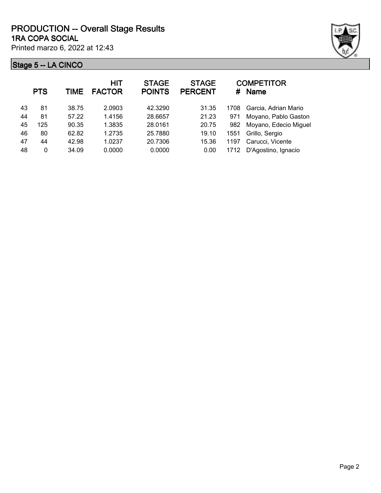

|    | <b>PTS</b> | TIME  | <b>HIT</b><br><b>FACTOR</b> | <b>STAGE</b><br><b>POINTS</b> | <b>STAGE</b><br><b>PERCENT</b> | #    | <b>COMPETITOR</b><br><b>Name</b> |
|----|------------|-------|-----------------------------|-------------------------------|--------------------------------|------|----------------------------------|
| 43 | 81         | 38.75 | 2.0903                      | 42.3290                       | 31.35                          | 1708 | Garcia, Adrian Mario             |
| 44 | 81         | 57.22 | 1.4156                      | 28.6657                       | 21.23                          | 971  | Moyano, Pablo Gaston             |
| 45 | 125        | 90.35 | 1.3835                      | 28.0161                       | 20.75                          | 982  | Moyano, Edecio Miguel            |
| 46 | 80         | 62.82 | 1.2735                      | 25.7880                       | 19.10                          | 1551 | Grillo, Sergio                   |
| 47 | 44         | 42.98 | 1.0237                      | 20.7306                       | 15.36                          | 1197 | Carucci, Vicente                 |
| 48 | 0          | 34.09 | 0.0000                      | 0.0000                        | 0.00                           | 1712 | D'Agostino, Ignacio              |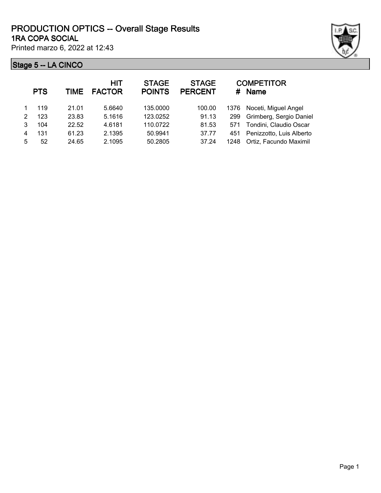|        | <b>PTS</b> | TIME  | <b>HIT</b><br><b>FACTOR</b> | <b>STAGE</b><br><b>POINTS</b> | <b>STAGE</b><br><b>PERCENT</b> |      | <b>COMPETITOR</b><br># Name |
|--------|------------|-------|-----------------------------|-------------------------------|--------------------------------|------|-----------------------------|
| 1.     | 119        | 21.01 | 5.6640                      | 135.0000                      | 100.00                         | 1376 | Noceti, Miguel Angel        |
| $^{2}$ | 123        | 23.83 | 5.1616                      | 123.0252                      | 91.13                          | 299  | Grimberg, Sergio Daniel     |
| 3      | 104        | 22.52 | 4.6181                      | 110.0722                      | 81.53                          | 571  | Tondini, Claudio Oscar      |
| 4      | 131        | 61.23 | 2.1395                      | 50.9941                       | 37.77                          | 451  | Penizzotto, Luis Alberto    |
| 5.     | 52         | 24.65 | 2.1095                      | 50.2805                       | 37.24                          | 1248 | Ortiz, Facundo Maximil      |
|        |            |       |                             |                               |                                |      |                             |

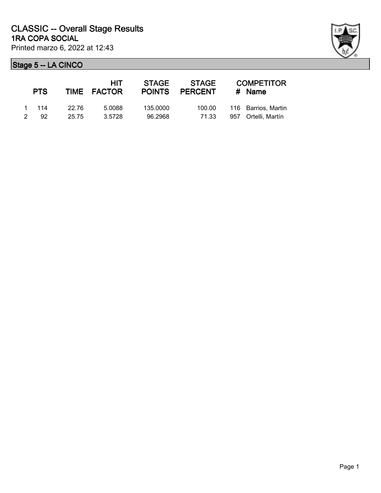| <b>PTS</b> |       |       | STAGE<br>HIT.<br>TIME FACTOR |          | STAGE<br>POINTS PERCENT | <b>COMPETITOR</b><br># Name |  |  |
|------------|-------|-------|------------------------------|----------|-------------------------|-----------------------------|--|--|
|            | 1 114 | 22 76 | 5.0088                       | 135,0000 | 100.00                  | 116 Barrios, Martin         |  |  |
|            | 2 92  | 25.75 | 3.5728                       | 96.2968  | 71.33                   | 957 Ortelli, Martín         |  |  |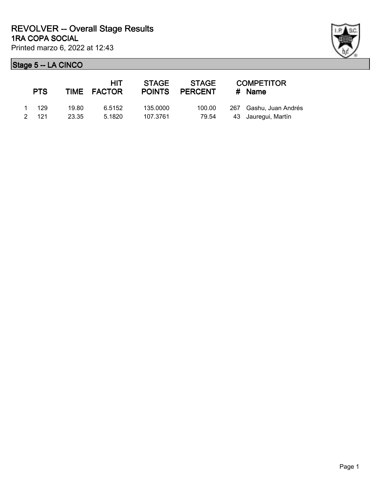| ł |  |
|---|--|

| <b>PTS</b> |       |       | HIT<br>TIME FACTOR | <b>STAGE</b> | STAGE<br>POINTS PERCENT | <b>COMPETITOR</b><br>$#$ Name |
|------------|-------|-------|--------------------|--------------|-------------------------|-------------------------------|
|            | 1 129 | 19.80 | 6.5152             | 135.0000     | 100.00                  | 267 Gashu, Juan Andrés        |
|            | 2 121 | 23.35 | 5.1820             | 107.3761     | 79.54                   | 43 Jauregui, Martín           |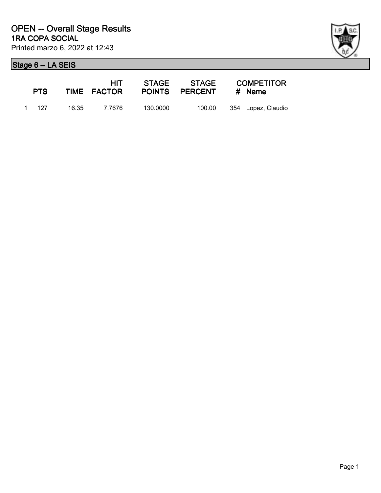

| <b>PTS</b> |       | HIT -<br>TIME FACTOR |          |        | STAGE STAGE COMPETITOR<br>POINTS PERCENT # Name |                    |
|------------|-------|----------------------|----------|--------|-------------------------------------------------|--------------------|
|            | 1 127 | 16.35 7.7676         | 130.0000 | 100.00 |                                                 | 354 Lopez, Claudio |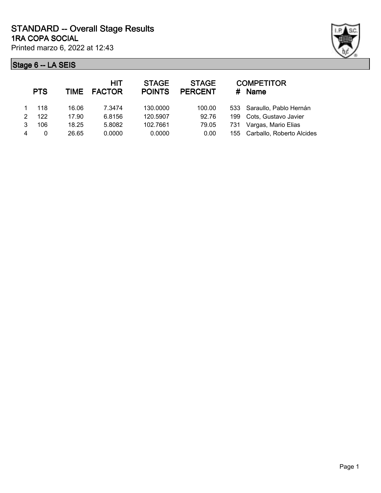

|   | <b>PTS</b> | TIME  | <b>HIT</b><br><b>FACTOR</b> | <b>STAGE</b><br><b>POINTS</b> | <b>STAGE</b><br><b>PERCENT</b> | #   | <b>COMPETITOR</b><br>Name     |
|---|------------|-------|-----------------------------|-------------------------------|--------------------------------|-----|-------------------------------|
|   | 118        | 16.06 | 7.3474                      | 130.0000                      | 100.00                         |     | 533 Saraullo, Pablo Hernán    |
| 2 | 122        | 17.90 | 6.8156                      | 120.5907                      | 92.76                          | 199 | Cots, Gustavo Javier          |
| 3 | 106        | 18.25 | 5.8082                      | 102.7661                      | 79.05                          | 731 | Vargas, Mario Elias           |
| 4 | 0          | 26.65 | 0.0000                      | 0.0000                        | 0.00                           |     | 155 Carballo, Roberto Alcides |
|   |            |       |                             |                               |                                |     |                               |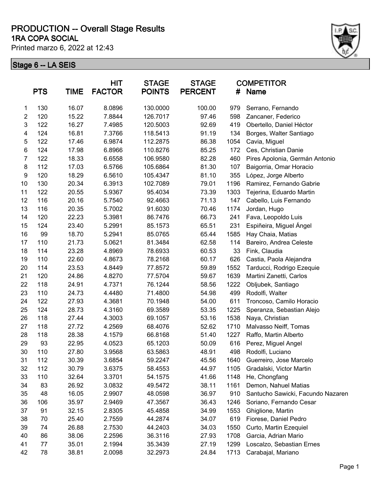#### **1RA COPA SOCIAL PRODUCTION -- Overall Stage Results**

Printed marzo 6, 2022 at 12:43



|                  | <b>PTS</b> | TIME  | <b>HIT</b><br><b>FACTOR</b> | <b>STAGE</b><br><b>POINTS</b> | <b>STAGE</b><br><b>PERCENT</b> | #    | <b>COMPETITOR</b><br><b>Name</b>  |
|------------------|------------|-------|-----------------------------|-------------------------------|--------------------------------|------|-----------------------------------|
| 1                | 130        | 16.07 | 8.0896                      | 130.0000                      | 100.00                         | 979  | Serrano, Fernando                 |
| $\overline{c}$   | 120        | 15.22 | 7.8844                      | 126.7017                      | 97.46                          | 598  | Zancaner, Federico                |
| 3                | 122        | 16.27 | 7.4985                      | 120.5003                      | 92.69                          | 419  | Obertello, Daniel Héctor          |
| 4                | 124        | 16.81 | 7.3766                      | 118.5413                      | 91.19                          | 134  | Borges, Walter Santiago           |
| 5                | 122        | 17.46 | 6.9874                      | 112.2875                      | 86.38                          | 1054 | Cavia, Miguel                     |
| 6                | 124        | 17.98 | 6.8966                      | 110.8276                      | 85.25                          | 172  | Ces, Christian Danie              |
| 7                | 122        | 18.33 | 6.6558                      | 106.9580                      | 82.28                          | 460  | Pires Apolonia, Germán Antonio    |
| $\bf 8$          | 112        | 17.03 | 6.5766                      | 105.6864                      | 81.30                          | 107  | Baigorria, Omar Horacio           |
| $\boldsymbol{9}$ | 120        | 18.29 | 6.5610                      | 105.4347                      | 81.10                          | 355  | López, Jorge Alberto              |
| 10               | 130        | 20.34 | 6.3913                      | 102.7089                      | 79.01                          | 1196 | Ramirez, Fernando Gabrie          |
| 11               | 122        | 20.55 | 5.9367                      | 95.4034                       | 73.39                          | 1303 | Tejerina, Eduardo Martin          |
| 12               | 116        | 20.16 | 5.7540                      | 92.4663                       | 71.13                          | 147  | Cabello, Luis Fernando            |
| 13               | 116        | 20.35 | 5.7002                      | 91.6030                       | 70.46                          | 1174 | Jordan, Hugo                      |
| 14               | 120        | 22.23 | 5.3981                      | 86.7476                       | 66.73                          | 241  | Fava, Leopoldo Luis               |
| 15               | 124        | 23.40 | 5.2991                      | 85.1573                       | 65.51                          | 231  | Espiñeira, Miguel Ángel           |
| 16               | 99         | 18.70 | 5.2941                      | 85.0765                       | 65.44                          | 1585 | Hay Chaia, Matias                 |
| 17               | 110        | 21.73 | 5.0621                      | 81.3484                       | 62.58                          | 114  | Bareiro, Andrea Celeste           |
| 18               | 114        | 23.28 | 4.8969                      | 78.6933                       | 60.53                          | 33   | Fink, Claudia                     |
| 19               | 110        | 22.60 | 4.8673                      | 78.2168                       | 60.17                          | 626  | Castia, Paola Alejandra           |
| 20               | 114        | 23.53 | 4.8449                      | 77.8572                       | 59.89                          | 1552 | Tarducci, Rodrigo Ezequie         |
| 21               | 120        | 24.86 | 4.8270                      | 77.5704                       | 59.67                          | 1639 | Martini Zanetti, Carlos           |
| 22               | 118        | 24.91 | 4.7371                      | 76.1244                       | 58.56                          | 1222 | Obljubek, Santiago                |
| 23               | 110        | 24.73 | 4.4480                      | 71.4800                       | 54.98                          | 499  | Rodolfi, Walter                   |
| 24               | 122        | 27.93 | 4.3681                      | 70.1948                       | 54.00                          | 611  | Troncoso, Camilo Horacio          |
| 25               | 124        | 28.73 | 4.3160                      | 69.3589                       | 53.35                          | 1225 | Speranza, Sebastian Alejo         |
| 26               | 118        | 27.44 | 4.3003                      | 69.1057                       | 53.16                          | 1538 | Naya, Christian                   |
| 27               | 118        | 27.72 | 4.2569                      | 68.4076                       | 52.62                          | 1710 | Malvasso Neiff, Tomas             |
| 28               | 118        | 28.38 | 4.1579                      | 66.8168                       | 51.40                          | 1227 | Raffo, Martin Alberto             |
| 29               | 93         | 22.95 | 4.0523                      | 65.1203                       | 50.09                          | 616  | Perez, Miguel Angel               |
| 30               | 110        | 27.80 | 3.9568                      | 63.5863                       | 48.91                          | 498  | Rodolfi, Luciano                  |
| 31               | 112        | 30.39 | 3.6854                      | 59.2247                       | 45.56                          | 1640 | Guerreiro, Jose Marcelo           |
| 32               | 112        | 30.79 | 3.6375                      | 58.4553                       | 44.97                          | 1105 | Gradalski, Victor Martin          |
| 33               | 110        | 32.64 | 3.3701                      | 54.1575                       | 41.66                          | 1148 | He, Chongfang                     |
| 34               | 83         | 26.92 | 3.0832                      | 49.5472                       | 38.11                          | 1161 | Demon, Nahuel Matias              |
| 35               | 48         | 16.05 | 2.9907                      | 48.0598                       | 36.97                          | 910  | Santucho Sawicki, Facundo Nazaren |
| 36               | 106        | 35.97 | 2.9469                      | 47.3567                       | 36.43                          | 1246 | Soriano, Fernando Cesar           |
| 37               | 91         | 32.15 | 2.8305                      | 45.4858                       | 34.99                          | 1553 | Ghiglione, Martin                 |
| 38               | 70         | 25.40 | 2.7559                      | 44.2874                       | 34.07                          | 619  | Fiorese, Daniel Pedro             |
| 39               | 74         | 26.88 | 2.7530                      | 44.2403                       | 34.03                          | 1550 | Curto, Martin Ezequiel            |
| 40               | 86         | 38.06 | 2.2596                      | 36.3116                       | 27.93                          | 1708 | Garcia, Adrian Mario              |
| 41               | 77         | 35.01 | 2.1994                      | 35.3439                       | 27.19                          | 1299 | Loscalzo, Sebastian Ernes         |
| 42               | 78         | 38.81 | 2.0098                      | 32.2973                       | 24.84                          | 1713 | Carabajal, Mariano                |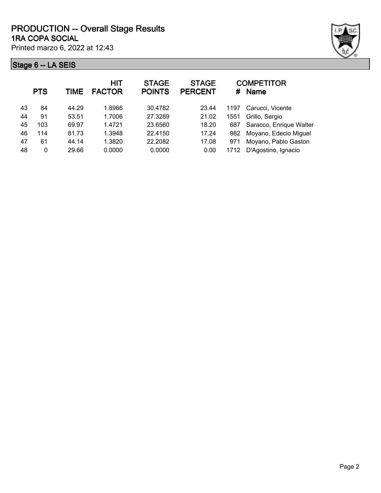

|    | <b>PTS</b> | TIME  | <b>HIT</b><br><b>FACTOR</b> | <b>STAGE</b><br><b>POINTS</b> | <b>STAGE</b><br><b>PERCENT</b> |      | <b>COMPETITOR</b><br># Name |
|----|------------|-------|-----------------------------|-------------------------------|--------------------------------|------|-----------------------------|
| 43 | 84         | 44.29 | 1.8966                      | 30.4782                       | 23.44                          | 1197 | Carucci, Vicente            |
| 44 | 91         | 53.51 | 1.7006                      | 27.3289                       | 21.02                          | 1551 | Grillo, Sergio              |
| 45 | 103        | 69.97 | 1.4721                      | 23.6560                       | 18.20                          | 687  | Saracco, Enrique Walter     |
| 46 | 114        | 81.73 | 1.3948                      | 22.4150                       | 17.24                          | 982  | Moyano, Edecio Miguel       |
| 47 | 61         | 44.14 | 1.3820                      | 22.2082                       | 17.08                          | 971  | Moyano, Pablo Gaston        |
| 48 | 0          | 29.66 | 0.0000                      | 0.0000                        | 0.00                           | 1712 | D'Agostino, Ignacio         |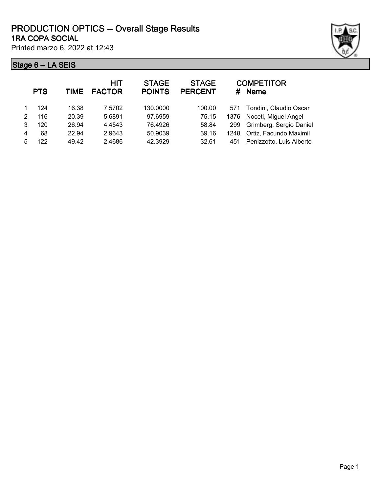|   | <b>PTS</b> | TIME  | <b>HIT</b><br><b>FACTOR</b> | <b>STAGE</b><br><b>POINTS</b> | <b>STAGE</b><br><b>PERCENT</b> | #    | <b>COMPETITOR</b><br><b>Name</b> |
|---|------------|-------|-----------------------------|-------------------------------|--------------------------------|------|----------------------------------|
|   | 124        | 16.38 | 7.5702                      | 130.0000                      | 100.00                         | 571  | Tondini, Claudio Oscar           |
| 2 | 116        | 20.39 | 5.6891                      | 97.6959                       | 75.15                          | 1376 | Noceti, Miguel Angel             |
| 3 | 120        | 26.94 | 4.4543                      | 76.4926                       | 58.84                          | 299  | Grimberg, Sergio Daniel          |
| 4 | 68         | 22.94 | 2.9643                      | 50.9039                       | 39.16                          | 1248 | Ortiz, Facundo Maximil           |
| 5 | 122        | 49.42 | 2.4686                      | 42.3929                       | 32.61                          | 451  | Penizzotto, Luis Alberto         |
|   |            |       |                             |                               |                                |      |                                  |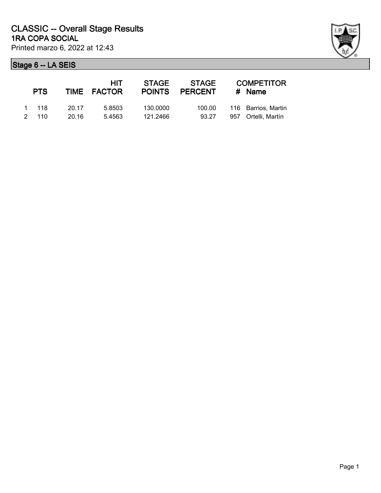| <b>PTS</b> |       | HIT.<br>TIME FACTOR | <b>STAGE</b><br><b>POINTS</b> | <b>STAGE</b><br><b>PERCENT</b> | <b>COMPETITOR</b><br># Name |
|------------|-------|---------------------|-------------------------------|--------------------------------|-----------------------------|
| 1 118      | 20.17 | 5.8503              | 130,0000                      | 100.00                         | 116 Barrios, Martin         |
| 2 110      | 20.16 | 5.4563              | 121.2466                      | 93.27                          | 957 Ortelli, Martín         |

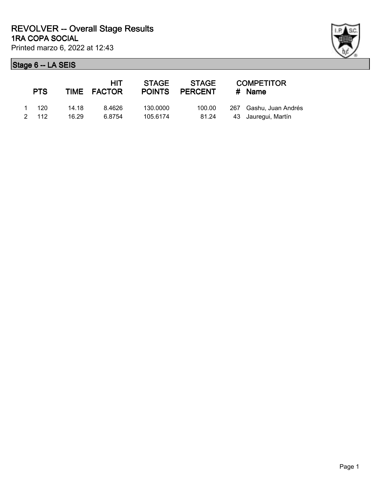| <b>PTS</b> |       | <b>HIT</b><br>TIME FACTOR | <b>STAGE</b><br><b>POINTS</b> | STAGE<br><b>PERCENT</b> | <b>COMPETITOR</b><br>$#$ Name |
|------------|-------|---------------------------|-------------------------------|-------------------------|-------------------------------|
| 1 120      | 14.18 | 8.4626                    | 130.0000                      | 100.00                  | 267 Gashu, Juan Andrés        |
| 2, 112     | 16.29 | 6.8754                    | 105.6174                      | 81.24                   | 43 Jauregui, Martín           |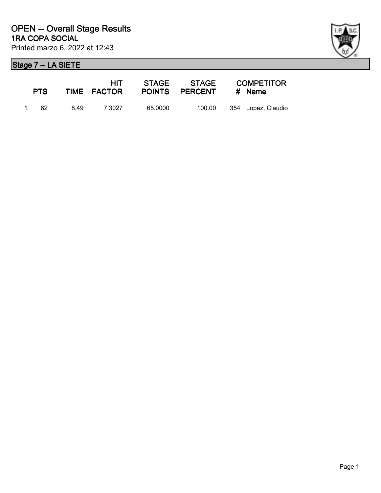

| <b>PTS</b> |      | HIT -<br>TIME FACTOR |         | POINTS PERCENT | <b>COMPETITOR</b><br># Name |
|------------|------|----------------------|---------|----------------|-----------------------------|
| 1 62       | 8.49 | 7.3027               | 65.0000 | 100.00         | 354 Lopez, Claudio          |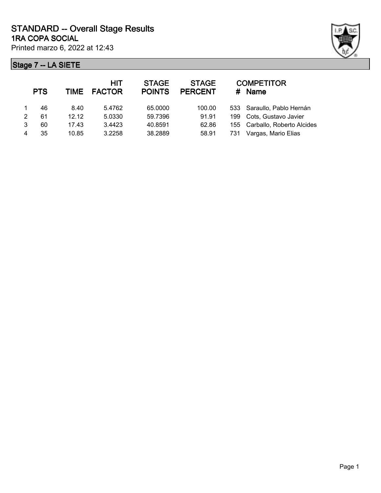

| 533 Saraullo, Pablo Hernán    |
|-------------------------------|
| Cots, Gustavo Javier          |
| 155 Carballo, Roberto Alcides |
| Vargas, Mario Elias           |
|                               |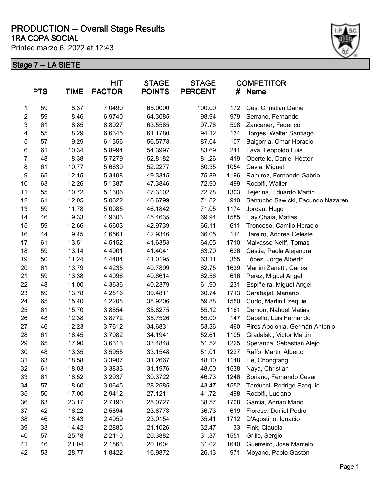#### **1RA COPA SOCIAL PRODUCTION -- Overall Stage Results**

Printed marzo 6, 2022 at 12:43



|                         | <b>PTS</b> | <b>TIME</b> | <b>HIT</b><br><b>FACTOR</b> | <b>STAGE</b><br><b>POINTS</b> | <b>STAGE</b><br><b>PERCENT</b> | <b>COMPETITOR</b><br>#<br><b>Name</b> |                                   |  |
|-------------------------|------------|-------------|-----------------------------|-------------------------------|--------------------------------|---------------------------------------|-----------------------------------|--|
| 1                       | 59         | 8.37        | 7.0490                      | 65.0000                       | 100.00                         | 172                                   | Ces, Christian Danie              |  |
| $\overline{c}$          | 59         | 8.46        | 6.9740                      | 64.3085                       | 98.94                          | 979                                   | Serrano, Fernando                 |  |
| 3                       | 61         | 8.85        | 6.8927                      | 63.5585                       | 97.78                          | 598                                   | Zancaner, Federico                |  |
| $\overline{\mathbf{4}}$ | 55         | 8.29        | 6.6345                      | 61.1780                       | 94.12                          | 134                                   | Borges, Walter Santiago           |  |
| $\mathbf 5$             | 57         | 9.29        | 6.1356                      | 56.5778                       | 87.04                          | 107                                   | Baigorria, Omar Horacio           |  |
| 6                       | 61         | 10.34       | 5.8994                      | 54.3997                       | 83.69                          | 241                                   | Fava, Leopoldo Luis               |  |
| $\overline{7}$          | 48         | 8.38        | 5.7279                      | 52.8182                       | 81.26                          | 419                                   | Obertello, Daniel Héctor          |  |
| 8                       | 61         | 10.77       | 5.6639                      | 52.2277                       | 80.35                          | 1054                                  | Cavia, Miguel                     |  |
| 9                       | 65         | 12.15       | 5.3498                      | 49.3315                       | 75.89                          | 1196                                  | Ramirez, Fernando Gabrie          |  |
| 10                      | 63         | 12.26       | 5.1387                      | 47.3846                       | 72.90                          | 499                                   | Rodolfi, Walter                   |  |
| 11                      | 55         | 10.72       | 5.1306                      | 47.3102                       | 72.78                          | 1303                                  | Tejerina, Eduardo Martin          |  |
| 12                      | 61         | 12.05       | 5.0622                      | 46.6799                       | 71.82                          | 910                                   | Santucho Sawicki, Facundo Nazaren |  |
| 13                      | 59         | 11.78       | 5.0085                      | 46.1842                       | 71.05                          | 1174                                  | Jordan, Hugo                      |  |
| 14                      | 46         | 9.33        | 4.9303                      | 45.4635                       | 69.94                          | 1585                                  | Hay Chaia, Matias                 |  |
| 15                      | 59         | 12.66       | 4.6603                      | 42.9739                       | 66.11                          | 611                                   | Troncoso, Camilo Horacio          |  |
| 16                      | 44         | 9.45        | 4.6561                      | 42.9346                       | 66.05                          | 114                                   | Bareiro, Andrea Celeste           |  |
| 17                      | 61         | 13.51       | 4.5152                      | 41.6353                       | 64.05                          | 1710                                  | Malvasso Neiff, Tomas             |  |
| 18                      | 59         | 13.14       | 4.4901                      | 41.4041                       | 63.70                          | 626                                   | Castia, Paola Alejandra           |  |
| 19                      | 50         | 11.24       | 4.4484                      | 41.0195                       | 63.11                          | 355                                   | López, Jorge Alberto              |  |
| 20                      | 61         | 13.79       | 4.4235                      | 40.7899                       | 62.75                          | 1639                                  | Martini Zanetti, Carlos           |  |
| 21                      | 59         | 13.38       | 4.4096                      | 40.6614                       | 62.56                          | 616                                   | Perez, Miguel Angel               |  |
| 22                      | 48         | 11.00       | 4.3636                      | 40.2379                       | 61.90                          | 231                                   | Espiñeira, Miguel Ángel           |  |
| 23                      | 59         | 13.78       | 4.2816                      | 39.4811                       | 60.74                          | 1713                                  | Carabajal, Mariano                |  |
| 24                      | 65         | 15.40       | 4.2208                      | 38.9206                       | 59.88                          | 1550                                  | Curto, Martin Ezequiel            |  |
| 25                      | 61         | 15.70       | 3.8854                      | 35.8275                       | 55.12                          | 1161                                  | Demon, Nahuel Matias              |  |
| 26                      | 48         | 12.38       | 3.8772                      | 35.7526                       | 55.00                          | 147                                   | Cabello, Luis Fernando            |  |
| 27                      | 46         | 12.23       | 3.7612                      | 34.6831                       | 53.36                          | 460                                   | Pires Apolonia, Germán Antonio    |  |
| 28                      | 61         | 16.45       | 3.7082                      | 34.1941                       | 52.61                          | 1105                                  | Gradalski, Victor Martin          |  |
| 29                      | 65         | 17.90       | 3.6313                      | 33.4848                       | 51.52                          | 1225                                  | Speranza, Sebastian Alejo         |  |
| 30                      | 48         | 13.35       | 3.5955                      | 33.1548                       | 51.01                          | 1227                                  | Raffo, Martin Alberto             |  |
| 31                      | 63         | 18.58       | 3.3907                      | 31.2667                       | 48.10                          | 1148                                  | He, Chongfang                     |  |
| 32                      | 61         | 18.03       | 3.3833                      | 31.1976                       | 48.00                          | 1538                                  | Naya, Christian                   |  |
| 33                      | 61         | 18.52       | 3.2937                      | 30.3722                       | 46.73                          | 1246                                  | Soriano, Fernando Cesar           |  |
| 34                      | 57         | 18.60       | 3.0645                      | 28.2585                       | 43.47                          | 1552                                  | Tarducci, Rodrigo Ezequie         |  |
| 35                      | 50         | 17.00       | 2.9412                      | 27.1211                       | 41.72                          | 498                                   | Rodolfi, Luciano                  |  |
| 36                      | 63         | 23.17       | 2.7190                      | 25.0727                       | 38.57                          | 1708                                  | Garcia, Adrian Mario              |  |
| 37                      | 42         | 16.22       | 2.5894                      | 23.8773                       | 36.73                          | 619                                   | Fiorese, Daniel Pedro             |  |
| 38                      | 46         | 18.43       | 2.4959                      | 23.0154                       | 35.41                          | 1712                                  | D'Agostino, Ignacio               |  |
| 39                      | 33         | 14.42       | 2.2885                      | 21.1026                       | 32.47                          | 33                                    | Fink, Claudia                     |  |
| 40                      | 57         | 25.78       | 2.2110                      | 20.3882                       | 31.37                          | 1551                                  | Grillo, Sergio                    |  |
| 41                      | 46         | 21.04       | 2.1863                      | 20.1604                       | 31.02                          | 1640                                  | Guerreiro, Jose Marcelo           |  |
| 42                      | 53         | 28.77       | 1.8422                      | 16.9872                       | 26.13                          | 971                                   | Moyano, Pablo Gaston              |  |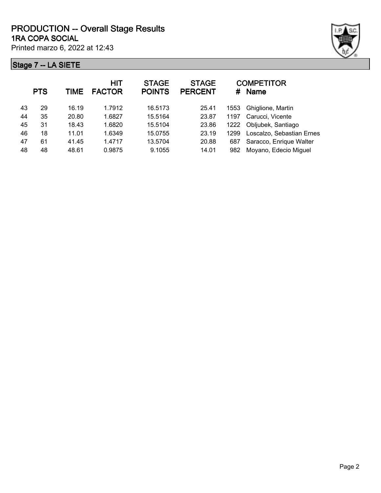

|    | <b>PTS</b> | TIME  | <b>HIT</b><br><b>FACTOR</b> | <b>STAGE</b><br><b>POINTS</b> | <b>STAGE</b><br><b>PERCENT</b> | #    | <b>COMPETITOR</b><br><b>Name</b> |
|----|------------|-------|-----------------------------|-------------------------------|--------------------------------|------|----------------------------------|
| 43 | 29         | 16.19 | 1.7912                      | 16.5173                       | 25.41                          | 1553 | Ghiglione, Martin                |
| 44 | 35         | 20.80 | 1.6827                      | 15.5164                       | 23.87                          | 1197 | Carucci, Vicente                 |
| 45 | 31         | 18.43 | 1.6820                      | 15.5104                       | 23.86                          | 1222 | Obljubek, Santiago               |
| 46 | 18         | 11.01 | 1.6349                      | 15.0755                       | 23.19                          | 1299 | Loscalzo, Sebastian Ernes        |
| 47 | 61         | 41.45 | 1.4717                      | 13.5704                       | 20.88                          | 687  | Saracco, Enrique Walter          |
| 48 | 48         | 48.61 | 0.9875                      | 9.1055                        | 14.01                          | 982  | Moyano, Edecio Miguel            |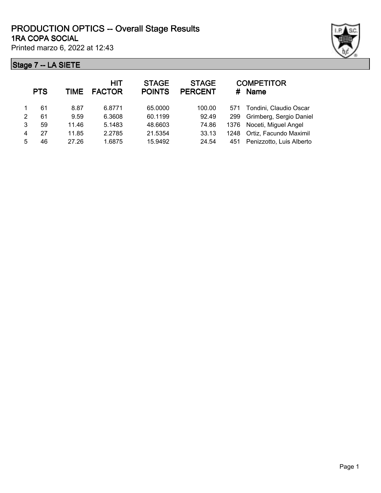

|               | <b>PTS</b> | TIME  | <b>HIT</b><br><b>FACTOR</b> | <b>STAGE</b><br><b>POINTS</b> | <b>STAGE</b><br><b>PERCENT</b> | #    | <b>COMPETITOR</b><br><b>Name</b> |
|---------------|------------|-------|-----------------------------|-------------------------------|--------------------------------|------|----------------------------------|
|               | 61         | 8.87  | 6.8771                      | 65.0000                       | 100.00                         | 571  | Tondini, Claudio Oscar           |
| $\mathcal{P}$ | 61         | 9.59  | 6.3608                      | 60.1199                       | 92.49                          | 299  | Grimberg, Sergio Daniel          |
| 3             | 59         | 11.46 | 5.1483                      | 48.6603                       | 74.86                          | 1376 | Noceti, Miguel Angel             |
| 4             | 27         | 11.85 | 2.2785                      | 21.5354                       | 33.13                          | 1248 | Ortiz, Facundo Maximil           |
| 5             | 46         | 27.26 | 1.6875                      | 15.9492                       | 24.54                          | 451  | Penizzotto, Luis Alberto         |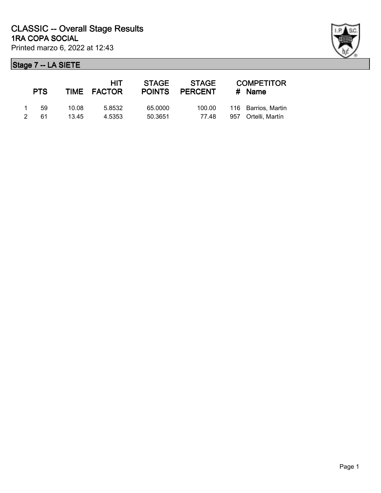|               | <b>PTS</b> |       | HIT<br>TIME FACTOR | <b>STAGE</b><br><b>POINTS</b> | STAGE<br><b>PERCENT</b> | <b>COMPETITOR</b><br>$#$ Name |
|---------------|------------|-------|--------------------|-------------------------------|-------------------------|-------------------------------|
| $\mathbf 1$   | .59        | 10.08 | 5.8532             | 65.0000                       | 100.00                  | 116 Barrios, Martin           |
| $\mathcal{P}$ | 61         | 13.45 | 4.5353             | 50.3651                       | 77.48                   | 957 Ortelli, Martín           |